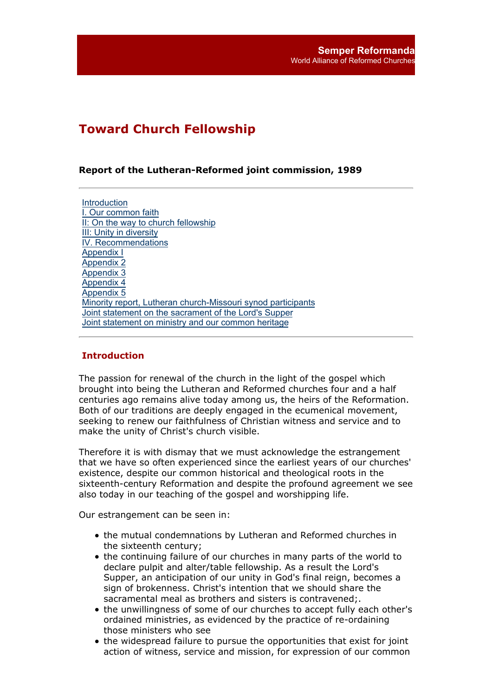# **Toward Church Fellowship**

### **Report of the Lutheran-Reformed joint commission, 1989**

**Introduction** I. Our common faith  $II:$  On the way to church fellowship III: Unity in diversity IV. Recommendations Appendix I Appendix 2 Appendix 3 Appendix 4 Appendix 5 Minority report, Lutheran church-Missouri synod participants Joint statement on the sacrament of the Lord's Supper Joint statement on ministry and our common heritage

### **Introduction**

The passion for renewal of the church in the light of the gospel which brought into being the Lutheran and Reformed churches four and a half centuries ago remains alive today among us, the heirs of the Reformation. Both of our traditions are deeply engaged in the ecumenical movement, seeking to renew our faithfulness of Christian witness and service and to make the unity of Christ's church visible.

Therefore it is with dismay that we must acknowledge the estrangement that we have so often experienced since the earliest years of our churches' existence, despite our common historical and theological roots in the sixteenth-century Reformation and despite the profound agreement we see also today in our teaching of the gospel and worshipping life.

Our estrangement can be seen in:

- the mutual condemnations by Lutheran and Reformed churches in the sixteenth century;
- the continuing failure of our churches in many parts of the world to declare pulpit and alter/table fellowship. As a result the Lord's Supper, an anticipation of our unity in God's final reign, becomes a sign of brokenness. Christ's intention that we should share the sacramental meal as brothers and sisters is contravened;.
- the unwillingness of some of our churches to accept fully each other's ordained ministries, as evidenced by the practice of re-ordaining those ministers who see
- the widespread failure to pursue the opportunities that exist for joint action of witness, service and mission, for expression of our common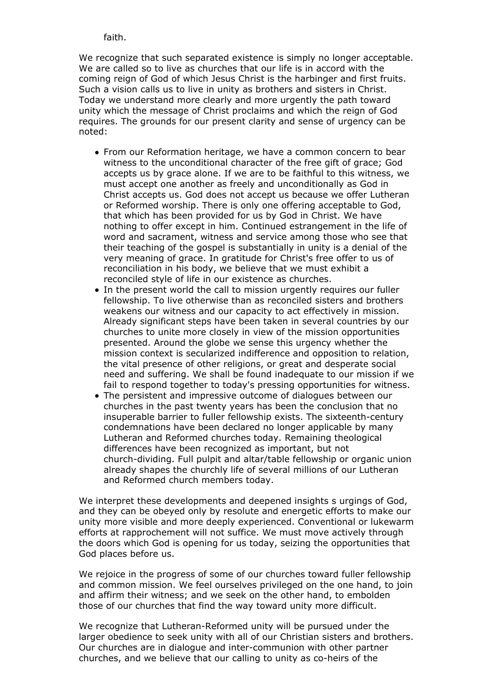faith.

We recognize that such separated existence is simply no longer acceptable. We are called so to live as churches that our life is in accord with the coming reign of God of which Jesus Christ is the harbinger and first fruits. Such a vision calls us to live in unity as brothers and sisters in Christ. Today we understand more clearly and more urgently the path toward unity which the message of Christ proclaims and which the reign of God requires. The grounds for our present clarity and sense of urgency can be noted:

- From our Reformation heritage, we have a common concern to bear witness to the unconditional character of the free gift of grace; God accepts us by grace alone. If we are to be faithful to this witness, we must accept one another as freely and unconditionally as God in Christ accepts us. God does not accept us because we offer Lutheran or Reformed worship. There is only one offering acceptable to God, that which has been provided for us by God in Christ. We have nothing to offer except in him. Continued estrangement in the life of word and sacrament, witness and service among those who see that their teaching of the gospel is substantially in unity is a denial of the very meaning of grace. In gratitude for Christ's free offer to us of reconciliation in his body, we believe that we must exhibit a reconciled style of life in our existence as churches.
- In the present world the call to mission urgently requires our fuller fellowship. To live otherwise than as reconciled sisters and brothers weakens our witness and our capacity to act effectively in mission. Already significant steps have been taken in several countries by our churches to unite more closely in view of the mission opportunities presented. Around the globe we sense this urgency whether the mission context is secularized indifference and opposition to relation, the vital presence of other religions, or great and desperate social need and suffering. We shall be found inadequate to our mission if we fail to respond together to today's pressing opportunities for witness.
- The persistent and impressive outcome of dialogues between our churches in the past twenty years has been the conclusion that no insuperable barrier to fuller fellowship exists. The sixteenth-century condemnations have been declared no longer applicable by many Lutheran and Reformed churches today. Remaining theological differences have been recognized as important, but not church-dividing. Full pulpit and altar/table fellowship or organic union already shapes the churchly life of several millions of our Lutheran and Reformed church members today.

We interpret these developments and deepened insights s urgings of God, and they can be obeyed only by resolute and energetic efforts to make our unity more visible and more deeply experienced. Conventional or lukewarm efforts at rapprochement will not suffice. We must move actively through the doors which God is opening for us today, seizing the opportunities that God places before us.

We rejoice in the progress of some of our churches toward fuller fellowship and common mission. We feel ourselves privileged on the one hand, to join and affirm their witness; and we seek on the other hand, to embolden those of our churches that find the way toward unity more difficult.

We recognize that Lutheran-Reformed unity will be pursued under the larger obedience to seek unity with all of our Christian sisters and brothers. Our churches are in dialogue and inter-communion with other partner churches, and we believe that our calling to unity as co-heirs of the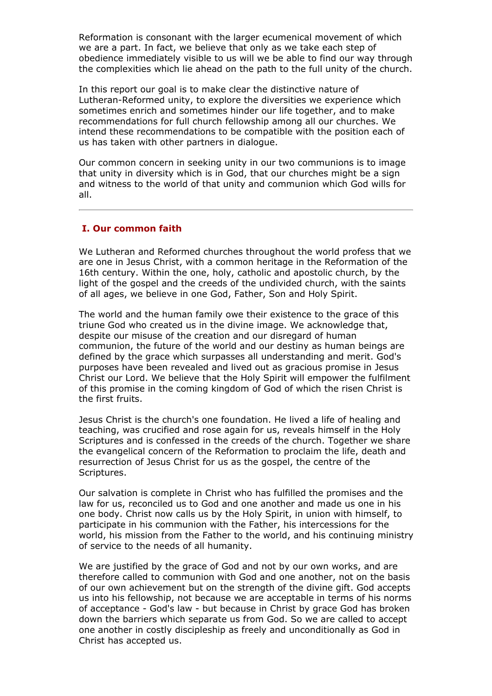Reformation is consonant with the larger ecumenical movement of which we are a part. In fact, we believe that only as we take each step of obedience immediately visible to us will we be able to find our way through the complexities which lie ahead on the path to the full unity of the church.

In this report our goal is to make clear the distinctive nature of Lutheran-Reformed unity, to explore the diversities we experience which sometimes enrich and sometimes hinder our life together, and to make recommendations for full church fellowship among all our churches. We intend these recommendations to be compatible with the position each of us has taken with other partners in dialogue.

Our common concern in seeking unity in our two communions is to image that unity in diversity which is in God, that our churches might be a sign and witness to the world of that unity and communion which God wills for all.

# **I. Our common faith**

We Lutheran and Reformed churches throughout the world profess that we are one in Jesus Christ, with a common heritage in the Reformation of the 16th century. Within the one, holy, catholic and apostolic church, by the light of the gospel and the creeds of the undivided church, with the saints of all ages, we believe in one God, Father, Son and Holy Spirit.

The world and the human family owe their existence to the grace of this triune God who created us in the divine image. We acknowledge that, despite our misuse of the creation and our disregard of human communion, the future of the world and our destiny as human beings are defined by the grace which surpasses all understanding and merit. God's purposes have been revealed and lived out as gracious promise in Jesus Christ our Lord. We believe that the Holy Spirit will empower the fulfilment of this promise in the coming kingdom of God of which the risen Christ is the first fruits.

Jesus Christ is the church's one foundation. He lived a life of healing and teaching, was crucified and rose again for us, reveals himself in the Holy Scriptures and is confessed in the creeds of the church. Together we share the evangelical concern of the Reformation to proclaim the life, death and resurrection of Jesus Christ for us as the gospel, the centre of the Scriptures.

Our salvation is complete in Christ who has fulfilled the promises and the law for us, reconciled us to God and one another and made us one in his one body. Christ now calls us by the Holy Spirit, in union with himself, to participate in his communion with the Father, his intercessions for the world, his mission from the Father to the world, and his continuing ministry of service to the needs of all humanity.

We are justified by the grace of God and not by our own works, and are therefore called to communion with God and one another, not on the basis of our own achievement but on the strength of the divine gift. God accepts us into his fellowship, not because we are acceptable in terms of his norms of acceptance - God's law - but because in Christ by grace God has broken down the barriers which separate us from God. So we are called to accept one another in costly discipleship as freely and unconditionally as God in Christ has accepted us.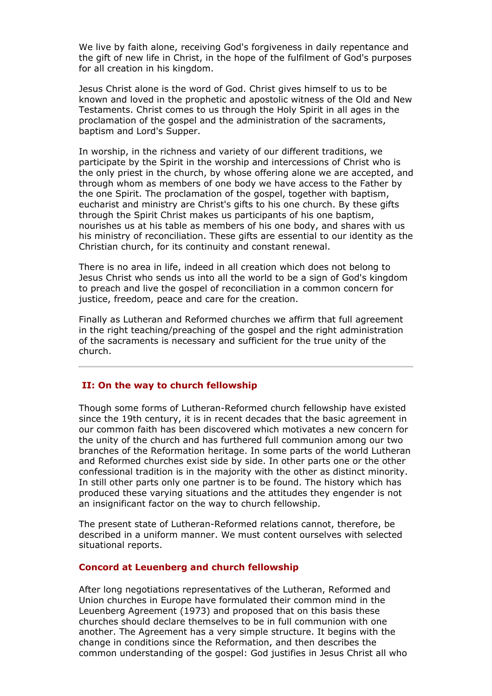We live by faith alone, receiving God's forgiveness in daily repentance and the gift of new life in Christ, in the hope of the fulfilment of God's purposes for all creation in his kingdom.

Jesus Christ alone is the word of God. Christ gives himself to us to be known and loved in the prophetic and apostolic witness of the Old and New Testaments. Christ comes to us through the Holy Spirit in all ages in the proclamation of the gospel and the administration of the sacraments, baptism and Lord's Supper.

In worship, in the richness and variety of our different traditions, we participate by the Spirit in the worship and intercessions of Christ who is the only priest in the church, by whose offering alone we are accepted, and through whom as members of one body we have access to the Father by the one Spirit. The proclamation of the gospel, together with baptism, eucharist and ministry are Christ's gifts to his one church. By these gifts through the Spirit Christ makes us participants of his one baptism, nourishes us at his table as members of his one body, and shares with us his ministry of reconciliation. These gifts are essential to our identity as the Christian church, for its continuity and constant renewal.

There is no area in life, indeed in all creation which does not belong to Jesus Christ who sends us into all the world to be a sign of God's kingdom to preach and live the gospel of reconciliation in a common concern for justice, freedom, peace and care for the creation.

Finally as Lutheran and Reformed churches we affirm that full agreement in the right teaching/preaching of the gospel and the right administration of the sacraments is necessary and sufficient for the true unity of the church.

### **II: On the way to church fellowship**

Though some forms of Lutheran-Reformed church fellowship have existed since the 19th century, it is in recent decades that the basic agreement in our common faith has been discovered which motivates a new concern for the unity of the church and has furthered full communion among our two branches of the Reformation heritage. In some parts of the world Lutheran and Reformed churches exist side by side. In other parts one or the other confessional tradition is in the majority with the other as distinct minority. In still other parts only one partner is to be found. The history which has produced these varying situations and the attitudes they engender is not an insignificant factor on the way to church fellowship.

The present state of Lutheran-Reformed relations cannot, therefore, be described in a uniform manner. We must content ourselves with selected situational reports.

#### **Concord at Leuenberg and church fellowship**

After long negotiations representatives of the Lutheran, Reformed and Union churches in Europe have formulated their common mind in the Leuenberg Agreement (1973) and proposed that on this basis these churches should declare themselves to be in full communion with one another. The Agreement has a very simple structure. It begins with the change in conditions since the Reformation, and then describes the common understanding of the gospel: God justifies in Jesus Christ all who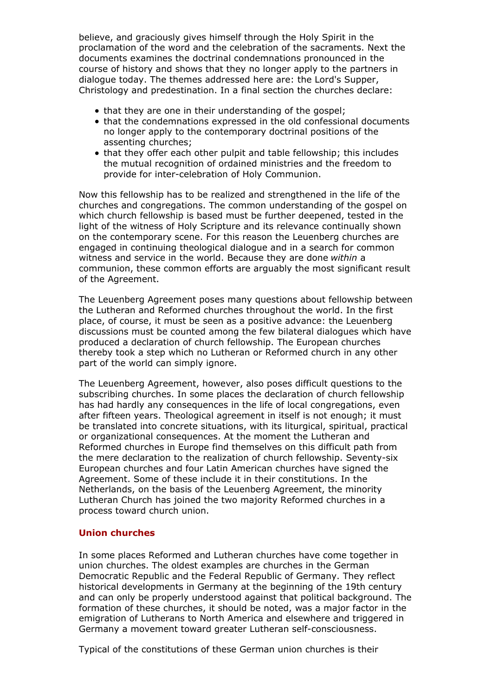believe, and graciously gives himself through the Holy Spirit in the proclamation of the word and the celebration of the sacraments. Next the documents examines the doctrinal condemnations pronounced in the course of history and shows that they no longer apply to the partners in dialogue today. The themes addressed here are: the Lord's Supper, Christology and predestination. In a final section the churches declare:

- that they are one in their understanding of the gospel;
- that the condemnations expressed in the old confessional documents no longer apply to the contemporary doctrinal positions of the assenting churches;
- that they offer each other pulpit and table fellowship; this includes the mutual recognition of ordained ministries and the freedom to provide for inter-celebration of Holy Communion.

Now this fellowship has to be realized and strengthened in the life of the churches and congregations. The common understanding of the gospel on which church fellowship is based must be further deepened, tested in the light of the witness of Holy Scripture and its relevance continually shown on the contemporary scene. For this reason the Leuenberg churches are engaged in continuing theological dialogue and in a search for common witness and service in the world. Because they are done *within* a communion, these common efforts are arguably the most significant result of the Agreement.

The Leuenberg Agreement poses many questions about fellowship between the Lutheran and Reformed churches throughout the world. In the first place, of course, it must be seen as a positive advance: the Leuenberg discussions must be counted among the few bilateral dialogues which have produced a declaration of church fellowship. The European churches thereby took a step which no Lutheran or Reformed church in any other part of the world can simply ignore.

The Leuenberg Agreement, however, also poses difficult questions to the subscribing churches. In some places the declaration of church fellowship has had hardly any consequences in the life of local congregations, even after fifteen years. Theological agreement in itself is not enough; it must be translated into concrete situations, with its liturgical, spiritual, practical or organizational consequences. At the moment the Lutheran and Reformed churches in Europe find themselves on this difficult path from the mere declaration to the realization of church fellowship. Seventy-six European churches and four Latin American churches have signed the Agreement. Some of these include it in their constitutions. In the Netherlands, on the basis of the Leuenberg Agreement, the minority Lutheran Church has joined the two majority Reformed churches in a process toward church union.

# **Union churches**

In some places Reformed and Lutheran churches have come together in union churches. The oldest examples are churches in the German Democratic Republic and the Federal Republic of Germany. They reflect historical developments in Germany at the beginning of the 19th century and can only be properly understood against that political background. The formation of these churches, it should be noted, was a major factor in the emigration of Lutherans to North America and elsewhere and triggered in Germany a movement toward greater Lutheran self-consciousness.

Typical of the constitutions of these German union churches is their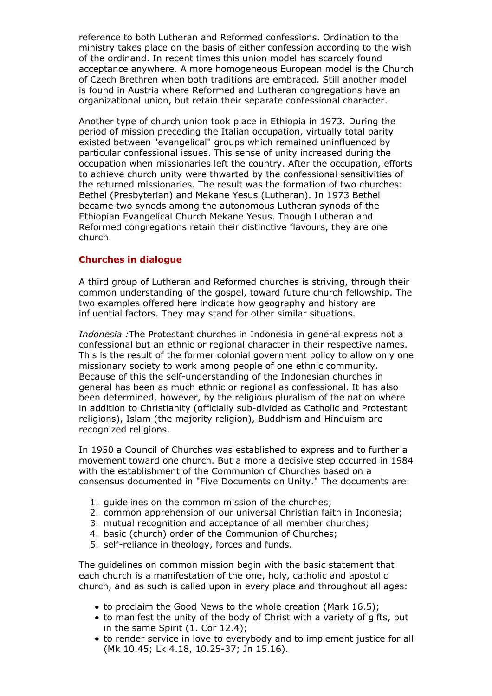reference to both Lutheran and Reformed confessions. Ordination to the ministry takes place on the basis of either confession according to the wish of the ordinand. In recent times this union model has scarcely found acceptance anywhere. A more homogeneous European model is the Church of Czech Brethren when both traditions are embraced. Still another model is found in Austria where Reformed and Lutheran congregations have an organizational union, but retain their separate confessional character.

Another type of church union took place in Ethiopia in 1973. During the period of mission preceding the Italian occupation, virtually total parity existed between "evangelical" groups which remained uninfluenced by particular confessional issues. This sense of unity increased during the occupation when missionaries left the country. After the occupation, efforts to achieve church unity were thwarted by the confessional sensitivities of the returned missionaries. The result was the formation of two churches: Bethel (Presbyterian) and Mekane Yesus (Lutheran). In 1973 Bethel became two synods among the autonomous Lutheran synods of the Ethiopian Evangelical Church Mekane Yesus. Though Lutheran and Reformed congregations retain their distinctive flavours, they are one church.

# **Churches in dialogue**

A third group of Lutheran and Reformed churches is striving, through their common understanding of the gospel, toward future church fellowship. The two examples offered here indicate how geography and history are influential factors. They may stand for other similar situations.

*Indonesia :*The Protestant churches in Indonesia in general express not a confessional but an ethnic or regional character in their respective names. This is the result of the former colonial government policy to allow only one missionary society to work among people of one ethnic community. Because of this the self-understanding of the Indonesian churches in general has been as much ethnic or regional as confessional. It has also been determined, however, by the religious pluralism of the nation where in addition to Christianity (officially sub-divided as Catholic and Protestant religions), Islam (the majority religion), Buddhism and Hinduism are recognized religions.

In 1950 a Council of Churches was established to express and to further a movement toward one church. But a more a decisive step occurred in 1984 with the establishment of the Communion of Churches based on a consensus documented in "Five Documents on Unity." The documents are:

- 1. guidelines on the common mission of the churches;
- 2. common apprehension of our universal Christian faith in Indonesia;
- 3. mutual recognition and acceptance of all member churches;
- 4. basic (church) order of the Communion of Churches;
- 5. self-reliance in theology, forces and funds.

The guidelines on common mission begin with the basic statement that each church is a manifestation of the one, holy, catholic and apostolic church, and as such is called upon in every place and throughout all ages:

- to proclaim the Good News to the whole creation (Mark 16.5);
- to manifest the unity of the body of Christ with a variety of gifts, but in the same Spirit (1. Cor 12.4);
- to render service in love to everybody and to implement justice for all (Mk 10.45; Lk 4.18, 10.25-37; Jn 15.16).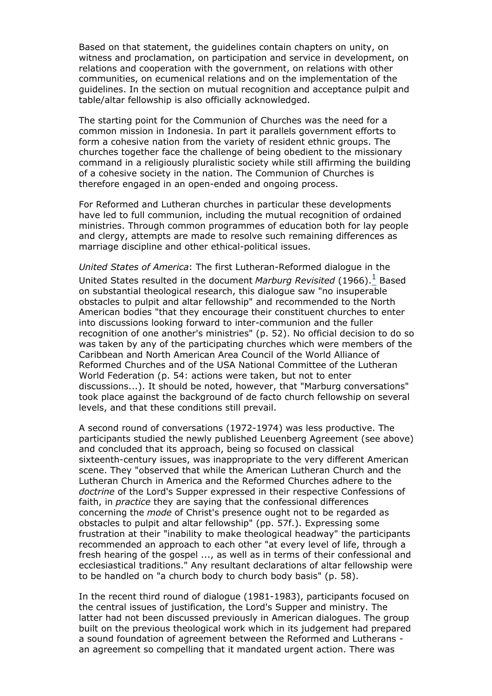Based on that statement, the guidelines contain chapters on unity, on witness and proclamation, on participation and service in development, on relations and cooperation with the government, on relations with other communities, on ecumenical relations and on the implementation of the guidelines. In the section on mutual recognition and acceptance pulpit and table/altar fellowship is also officially acknowledged.

The starting point for the Communion of Churches was the need for a common mission in Indonesia. In part it parallels government efforts to form a cohesive nation from the variety of resident ethnic groups. The churches together face the challenge of being obedient to the missionary command in a religiously pluralistic society while still affirming the building of a cohesive society in the nation. The Communion of Churches is therefore engaged in an open-ended and ongoing process.

For Reformed and Lutheran churches in particular these developments have led to full communion, including the mutual recognition of ordained ministries. Through common programmes of education both for lay people and clergy, attempts are made to resolve such remaining differences as marriage discipline and other ethical-political issues.

#### *United States of America*: The first Lutheran-Reformed dialogue in the

United States resulted in the document *Marburg Revisited* (1966).<sup>1</sup> Based on substantial theological research, this dialogue saw "no insuperable obstacles to pulpit and altar fellowship" and recommended to the North American bodies "that they encourage their constituent churches to enter into discussions looking forward to inter-communion and the fuller recognition of one another's ministries" (p. 52). No official decision to do so was taken by any of the participating churches which were members of the Caribbean and North American Area Council of the World Alliance of Reformed Churches and of the USA National Committee of the Lutheran World Federation (p. 54: actions were taken, but not to enter discussions...). It should be noted, however, that "Marburg conversations" took place against the background of de facto church fellowship on several levels, and that these conditions still prevail.

A second round of conversations (1972-1974) was less productive. The participants studied the newly published Leuenberg Agreement (see above) and concluded that its approach, being so focused on classical sixteenth-century issues, was inappropriate to the very different American scene. They "observed that while the American Lutheran Church and the Lutheran Church in America and the Reformed Churches adhere to the *doctrine* of the Lord's Supper expressed in their respective Confessions of faith, in *practice* they are saying that the confessional differences concerning the *mode* of Christ's presence ought not to be regarded as obstacles to pulpit and altar fellowship" (pp. 57f.). Expressing some frustration at their "inability to make theological headway" the participants recommended an approach to each other "at every level of life, through a fresh hearing of the gospel ..., as well as in terms of their confessional and ecclesiastical traditions." Any resultant declarations of altar fellowship were to be handled on "a church body to church body basis" (p. 58).

In the recent third round of dialogue (1981-1983), participants focused on the central issues of justification, the Lord's Supper and ministry. The latter had not been discussed previously in American dialogues. The group built on the previous theological work which in its judgement had prepared a sound foundation of agreement between the Reformed and Lutherans an agreement so compelling that it mandated urgent action. There was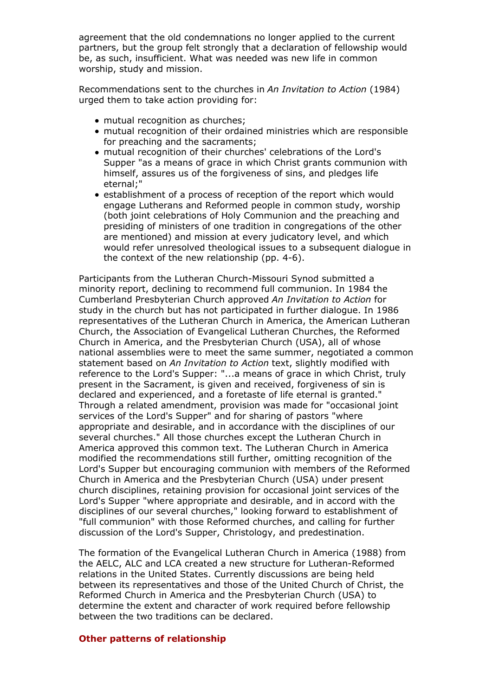agreement that the old condemnations no longer applied to the current partners, but the group felt strongly that a declaration of fellowship would be, as such, insufficient. What was needed was new life in common worship, study and mission.

Recommendations sent to the churches in *An Invitation to Action* (1984) urged them to take action providing for:

- mutual recognition as churches;
- mutual recognition of their ordained ministries which are responsible for preaching and the sacraments;
- mutual recognition of their churches' celebrations of the Lord's Supper "as a means of grace in which Christ grants communion with himself, assures us of the forgiveness of sins, and pledges life eternal;"
- establishment of a process of reception of the report which would engage Lutherans and Reformed people in common study, worship (both joint celebrations of Holy Communion and the preaching and presiding of ministers of one tradition in congregations of the other are mentioned) and mission at every judicatory level, and which would refer unresolved theological issues to a subsequent dialogue in the context of the new relationship (pp. 4-6).

Participants from the Lutheran Church-Missouri Synod submitted a minority report, declining to recommend full communion. In 1984 the Cumberland Presbyterian Church approved *An Invitation to Action* for study in the church but has not participated in further dialogue. In 1986 representatives of the Lutheran Church in America, the American Lutheran Church, the Association of Evangelical Lutheran Churches, the Reformed Church in America, and the Presbyterian Church (USA), all of whose national assemblies were to meet the same summer, negotiated a common statement based on *An Invitation to Action* text, slightly modified with reference to the Lord's Supper: "...a means of grace in which Christ, truly present in the Sacrament, is given and received, forgiveness of sin is declared and experienced, and a foretaste of life eternal is granted." Through a related amendment, provision was made for "occasional joint services of the Lord's Supper" and for sharing of pastors "where appropriate and desirable, and in accordance with the disciplines of our several churches." All those churches except the Lutheran Church in America approved this common text. The Lutheran Church in America modified the recommendations still further, omitting recognition of the Lord's Supper but encouraging communion with members of the Reformed Church in America and the Presbyterian Church (USA) under present church disciplines, retaining provision for occasional joint services of the Lord's Supper "where appropriate and desirable, and in accord with the disciplines of our several churches," looking forward to establishment of "full communion" with those Reformed churches, and calling for further discussion of the Lord's Supper, Christology, and predestination.

The formation of the Evangelical Lutheran Church in America (1988) from the AELC, ALC and LCA created a new structure for Lutheran-Reformed relations in the United States. Currently discussions are being held between its representatives and those of the United Church of Christ, the Reformed Church in America and the Presbyterian Church (USA) to determine the extent and character of work required before fellowship between the two traditions can be declared.

### **Other patterns of relationship**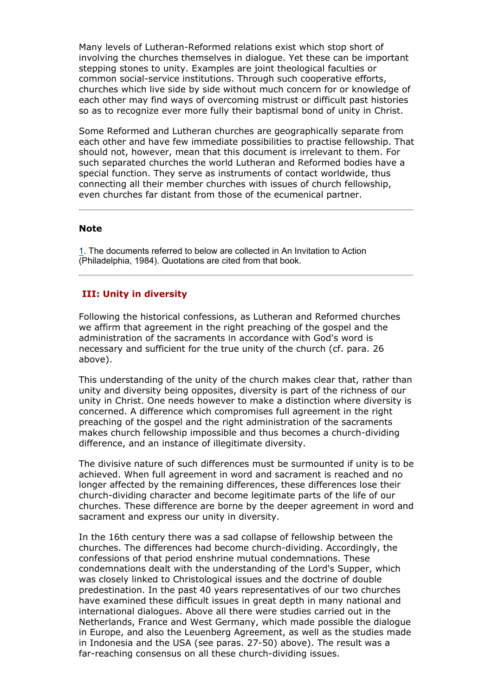Many levels of Lutheran-Reformed relations exist which stop short of involving the churches themselves in dialogue. Yet these can be important stepping stones to unity. Examples are joint theological faculties or common social-service institutions. Through such cooperative efforts, churches which live side by side without much concern for or knowledge of each other may find ways of overcoming mistrust or difficult past histories so as to recognize ever more fully their baptismal bond of unity in Christ.

Some Reformed and Lutheran churches are geographically separate from each other and have few immediate possibilities to practise fellowship. That should not, however, mean that this document is irrelevant to them. For such separated churches the world Lutheran and Reformed bodies have a special function. They serve as instruments of contact worldwide, thus connecting all their member churches with issues of church fellowship, even churches far distant from those of the ecumenical partner.

#### **Note**

1. The documents referred to below are collected in An Invitation to Action (Philadelphia, 1984). Quotations are cited from that book.

#### **III: Unity in diversity**

Following the historical confessions, as Lutheran and Reformed churches we affirm that agreement in the right preaching of the gospel and the administration of the sacraments in accordance with God's word is necessary and sufficient for the true unity of the church (cf. para. 26 above).

This understanding of the unity of the church makes clear that, rather than unity and diversity being opposites, diversity is part of the richness of our unity in Christ. One needs however to make a distinction where diversity is concerned. A difference which compromises full agreement in the right preaching of the gospel and the right administration of the sacraments makes church fellowship impossible and thus becomes a church-dividing difference, and an instance of illegitimate diversity.

The divisive nature of such differences must be surmounted if unity is to be achieved. When full agreement in word and sacrament is reached and no longer affected by the remaining differences, these differences lose their church-dividing character and become legitimate parts of the life of our churches. These difference are borne by the deeper agreement in word and sacrament and express our unity in diversity.

In the 16th century there was a sad collapse of fellowship between the churches. The differences had become church-dividing. Accordingly, the confessions of that period enshrine mutual condemnations. These condemnations dealt with the understanding of the Lord's Supper, which was closely linked to Christological issues and the doctrine of double predestination. In the past 40 years representatives of our two churches have examined these difficult issues in great depth in many national and international dialogues. Above all there were studies carried out in the Netherlands, France and West Germany, which made possible the dialogue in Europe, and also the Leuenberg Agreement, as well as the studies made in Indonesia and the USA (see paras. 27-50) above). The result was a far-reaching consensus on all these church-dividing issues.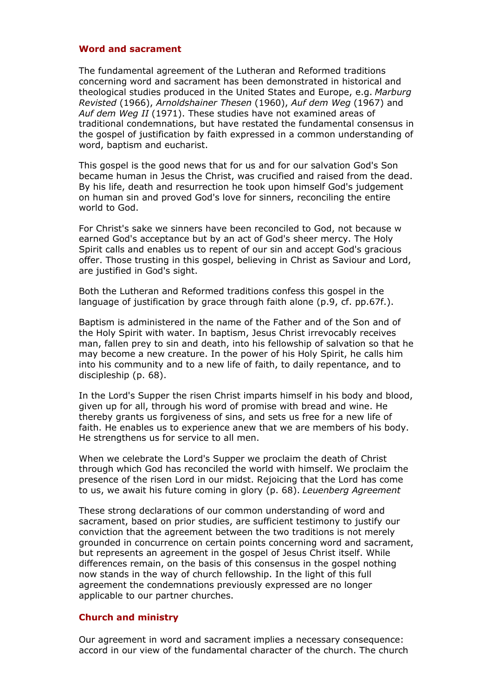#### **Word and sacrament**

The fundamental agreement of the Lutheran and Reformed traditions concerning word and sacrament has been demonstrated in historical and theological studies produced in the United States and Europe, e.g. *Marburg Revisted* (1966), *Arnoldshainer Thesen* (1960), *Auf dem Weg* (1967) and *Auf dem Weg II* (1971). These studies have not examined areas of traditional condemnations, but have restated the fundamental consensus in the gospel of justification by faith expressed in a common understanding of word, baptism and eucharist.

This gospel is the good news that for us and for our salvation God's Son became human in Jesus the Christ, was crucified and raised from the dead. By his life, death and resurrection he took upon himself God's judgement on human sin and proved God's love for sinners, reconciling the entire world to God.

For Christ's sake we sinners have been reconciled to God, not because w earned God's acceptance but by an act of God's sheer mercy. The Holy Spirit calls and enables us to repent of our sin and accept God's gracious offer. Those trusting in this gospel, believing in Christ as Saviour and Lord, are justified in God's sight.

Both the Lutheran and Reformed traditions confess this gospel in the language of justification by grace through faith alone (p.9, cf. pp.67f.).

Baptism is administered in the name of the Father and of the Son and of the Holy Spirit with water. In baptism, Jesus Christ irrevocably receives man, fallen prey to sin and death, into his fellowship of salvation so that he may become a new creature. In the power of his Holy Spirit, he calls him into his community and to a new life of faith, to daily repentance, and to discipleship (p. 68).

In the Lord's Supper the risen Christ imparts himself in his body and blood, given up for all, through his word of promise with bread and wine. He thereby grants us forgiveness of sins, and sets us free for a new life of faith. He enables us to experience anew that we are members of his body. He strengthens us for service to all men.

When we celebrate the Lord's Supper we proclaim the death of Christ through which God has reconciled the world with himself. We proclaim the presence of the risen Lord in our midst. Rejoicing that the Lord has come to us, we await his future coming in glory (p. 68). *Leuenberg Agreement*

These strong declarations of our common understanding of word and sacrament, based on prior studies, are sufficient testimony to justify our conviction that the agreement between the two traditions is not merely grounded in concurrence on certain points concerning word and sacrament, but represents an agreement in the gospel of Jesus Christ itself. While differences remain, on the basis of this consensus in the gospel nothing now stands in the way of church fellowship. In the light of this full agreement the condemnations previously expressed are no longer applicable to our partner churches.

### **Church and ministry**

Our agreement in word and sacrament implies a necessary consequence: accord in our view of the fundamental character of the church. The church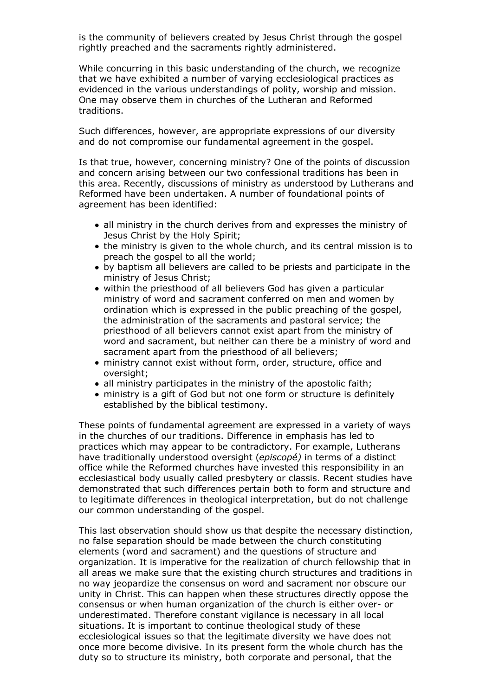is the community of believers created by Jesus Christ through the gospel rightly preached and the sacraments rightly administered.

While concurring in this basic understanding of the church, we recognize that we have exhibited a number of varying ecclesiological practices as evidenced in the various understandings of polity, worship and mission. One may observe them in churches of the Lutheran and Reformed traditions.

Such differences, however, are appropriate expressions of our diversity and do not compromise our fundamental agreement in the gospel.

Is that true, however, concerning ministry? One of the points of discussion and concern arising between our two confessional traditions has been in this area. Recently, discussions of ministry as understood by Lutherans and Reformed have been undertaken. A number of foundational points of agreement has been identified:

- all ministry in the church derives from and expresses the ministry of Jesus Christ by the Holy Spirit;
- the ministry is given to the whole church, and its central mission is to preach the gospel to all the world;
- by baptism all believers are called to be priests and participate in the ministry of Jesus Christ;
- within the priesthood of all believers God has given a particular ministry of word and sacrament conferred on men and women by ordination which is expressed in the public preaching of the gospel, the administration of the sacraments and pastoral service; the priesthood of all believers cannot exist apart from the ministry of word and sacrament, but neither can there be a ministry of word and sacrament apart from the priesthood of all believers;
- ministry cannot exist without form, order, structure, office and oversight;
- all ministry participates in the ministry of the apostolic faith;
- ministry is a gift of God but not one form or structure is definitely established by the biblical testimony.

These points of fundamental agreement are expressed in a variety of ways in the churches of our traditions. Difference in emphasis has led to practices which may appear to be contradictory. For example, Lutherans have traditionally understood oversight (*episcopé)* in terms of a distinct office while the Reformed churches have invested this responsibility in an ecclesiastical body usually called presbytery or classis. Recent studies have demonstrated that such differences pertain both to form and structure and to legitimate differences in theological interpretation, but do not challenge our common understanding of the gospel.

This last observation should show us that despite the necessary distinction, no false separation should be made between the church constituting elements (word and sacrament) and the questions of structure and organization. It is imperative for the realization of church fellowship that in all areas we make sure that the existing church structures and traditions in no way jeopardize the consensus on word and sacrament nor obscure our unity in Christ. This can happen when these structures directly oppose the consensus or when human organization of the church is either over- or underestimated. Therefore constant vigilance is necessary in all local situations. It is important to continue theological study of these ecclesiological issues so that the legitimate diversity we have does not once more become divisive. In its present form the whole church has the duty so to structure its ministry, both corporate and personal, that the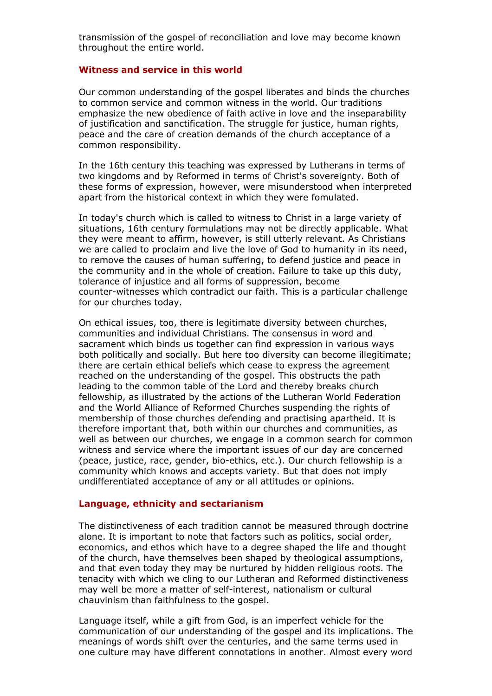transmission of the gospel of reconciliation and love may become known throughout the entire world.

#### **Witness and service in this world**

Our common understanding of the gospel liberates and binds the churches to common service and common witness in the world. Our traditions emphasize the new obedience of faith active in love and the inseparability of justification and sanctification. The struggle for justice, human rights, peace and the care of creation demands of the church acceptance of a common responsibility.

In the 16th century this teaching was expressed by Lutherans in terms of two kingdoms and by Reformed in terms of Christ's sovereignty. Both of these forms of expression, however, were misunderstood when interpreted apart from the historical context in which they were fomulated.

In today's church which is called to witness to Christ in a large variety of situations, 16th century formulations may not be directly applicable. What they were meant to affirm, however, is still utterly relevant. As Christians we are called to proclaim and live the love of God to humanity in its need, to remove the causes of human suffering, to defend justice and peace in the community and in the whole of creation. Failure to take up this duty, tolerance of injustice and all forms of suppression, become counter-witnesses which contradict our faith. This is a particular challenge for our churches today.

On ethical issues, too, there is legitimate diversity between churches, communities and individual Christians. The consensus in word and sacrament which binds us together can find expression in various ways both politically and socially. But here too diversity can become illegitimate; there are certain ethical beliefs which cease to express the agreement reached on the understanding of the gospel. This obstructs the path leading to the common table of the Lord and thereby breaks church fellowship, as illustrated by the actions of the Lutheran World Federation and the World Alliance of Reformed Churches suspending the rights of membership of those churches defending and practising apartheid. It is therefore important that, both within our churches and communities, as well as between our churches, we engage in a common search for common witness and service where the important issues of our day are concerned (peace, justice, race, gender, bio-ethics, etc.). Our church fellowship is a community which knows and accepts variety. But that does not imply undifferentiated acceptance of any or all attitudes or opinions.

#### **Language, ethnicity and sectarianism**

The distinctiveness of each tradition cannot be measured through doctrine alone. It is important to note that factors such as politics, social order, economics, and ethos which have to a degree shaped the life and thought of the church, have themselves been shaped by theological assumptions, and that even today they may be nurtured by hidden religious roots. The tenacity with which we cling to our Lutheran and Reformed distinctiveness may well be more a matter of self-interest, nationalism or cultural chauvinism than faithfulness to the gospel.

Language itself, while a gift from God, is an imperfect vehicle for the communication of our understanding of the gospel and its implications. The meanings of words shift over the centuries, and the same terms used in one culture may have different connotations in another. Almost every word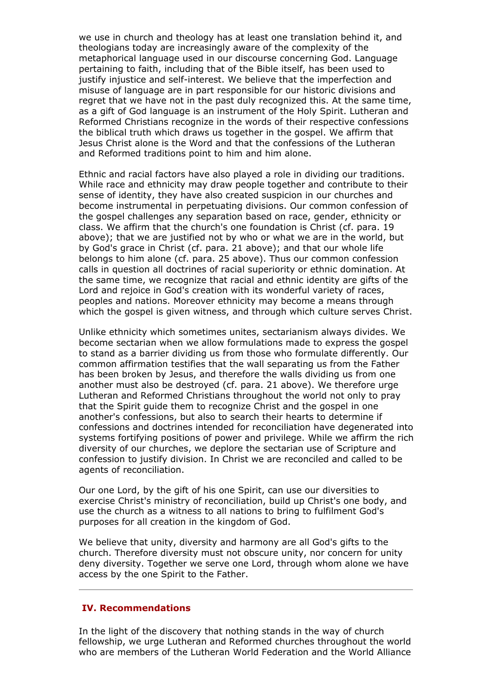we use in church and theology has at least one translation behind it, and theologians today are increasingly aware of the complexity of the metaphorical language used in our discourse concerning God. Language pertaining to faith, including that of the Bible itself, has been used to justify injustice and self-interest. We believe that the imperfection and misuse of language are in part responsible for our historic divisions and regret that we have not in the past duly recognized this. At the same time, as a gift of God language is an instrument of the Holy Spirit. Lutheran and Reformed Christians recognize in the words of their respective confessions the biblical truth which draws us together in the gospel. We affirm that Jesus Christ alone is the Word and that the confessions of the Lutheran and Reformed traditions point to him and him alone.

Ethnic and racial factors have also played a role in dividing our traditions. While race and ethnicity may draw people together and contribute to their sense of identity, they have also created suspicion in our churches and become instrumental in perpetuating divisions. Our common confession of the gospel challenges any separation based on race, gender, ethnicity or class. We affirm that the church's one foundation is Christ (cf. para. 19 above); that we are justified not by who or what we are in the world, but by God's grace in Christ (cf. para. 21 above); and that our whole life belongs to him alone (cf. para. 25 above). Thus our common confession calls in question all doctrines of racial superiority or ethnic domination. At the same time, we recognize that racial and ethnic identity are gifts of the Lord and rejoice in God's creation with its wonderful variety of races, peoples and nations. Moreover ethnicity may become a means through which the gospel is given witness, and through which culture serves Christ.

Unlike ethnicity which sometimes unites, sectarianism always divides. We become sectarian when we allow formulations made to express the gospel to stand as a barrier dividing us from those who formulate differently. Our common affirmation testifies that the wall separating us from the Father has been broken by Jesus, and therefore the walls dividing us from one another must also be destroyed (cf. para. 21 above). We therefore urge Lutheran and Reformed Christians throughout the world not only to pray that the Spirit guide them to recognize Christ and the gospel in one another's confessions, but also to search their hearts to determine if confessions and doctrines intended for reconciliation have degenerated into systems fortifying positions of power and privilege. While we affirm the rich diversity of our churches, we deplore the sectarian use of Scripture and confession to justify division. In Christ we are reconciled and called to be agents of reconciliation.

Our one Lord, by the gift of his one Spirit, can use our diversities to exercise Christ's ministry of reconciliation, build up Christ's one body, and use the church as a witness to all nations to bring to fulfilment God's purposes for all creation in the kingdom of God.

We believe that unity, diversity and harmony are all God's gifts to the church. Therefore diversity must not obscure unity, nor concern for unity deny diversity. Together we serve one Lord, through whom alone we have access by the one Spirit to the Father.

#### **IV. Recommendations**

In the light of the discovery that nothing stands in the way of church fellowship, we urge Lutheran and Reformed churches throughout the world who are members of the Lutheran World Federation and the World Alliance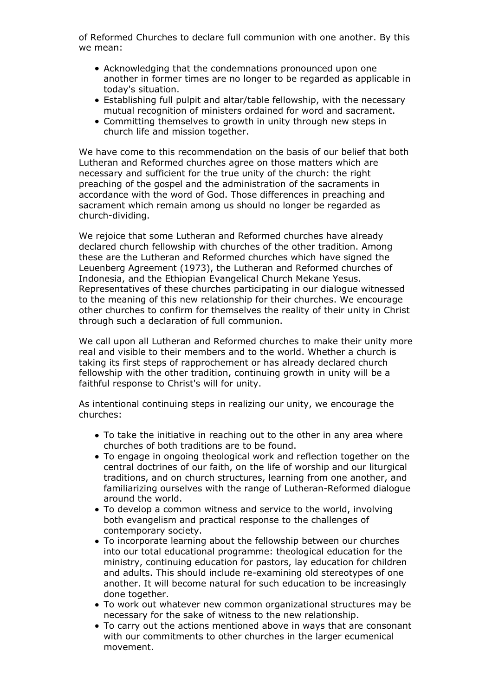of Reformed Churches to declare full communion with one another. By this we mean:

- Acknowledging that the condemnations pronounced upon one another in former times are no longer to be regarded as applicable in today's situation.
- Establishing full pulpit and altar/table fellowship, with the necessary mutual recognition of ministers ordained for word and sacrament.
- Committing themselves to growth in unity through new steps in church life and mission together.

We have come to this recommendation on the basis of our belief that both Lutheran and Reformed churches agree on those matters which are necessary and sufficient for the true unity of the church: the right preaching of the gospel and the administration of the sacraments in accordance with the word of God. Those differences in preaching and sacrament which remain among us should no longer be regarded as church-dividing.

We rejoice that some Lutheran and Reformed churches have already declared church fellowship with churches of the other tradition. Among these are the Lutheran and Reformed churches which have signed the Leuenberg Agreement (1973), the Lutheran and Reformed churches of Indonesia, and the Ethiopian Evangelical Church Mekane Yesus. Representatives of these churches participating in our dialogue witnessed to the meaning of this new relationship for their churches. We encourage other churches to confirm for themselves the reality of their unity in Christ through such a declaration of full communion.

We call upon all Lutheran and Reformed churches to make their unity more real and visible to their members and to the world. Whether a church is taking its first steps of rapprochement or has already declared church fellowship with the other tradition, continuing growth in unity will be a faithful response to Christ's will for unity.

As intentional continuing steps in realizing our unity, we encourage the churches:

- To take the initiative in reaching out to the other in any area where churches of both traditions are to be found.
- To engage in ongoing theological work and reflection together on the central doctrines of our faith, on the life of worship and our liturgical traditions, and on church structures, learning from one another, and familiarizing ourselves with the range of Lutheran-Reformed dialogue around the world.
- To develop a common witness and service to the world, involving both evangelism and practical response to the challenges of contemporary society.
- To incorporate learning about the fellowship between our churches into our total educational programme: theological education for the ministry, continuing education for pastors, lay education for children and adults. This should include re-examining old stereotypes of one another. It will become natural for such education to be increasingly done together.
- To work out whatever new common organizational structures may be necessary for the sake of witness to the new relationship.
- To carry out the actions mentioned above in ways that are consonant with our commitments to other churches in the larger ecumenical movement.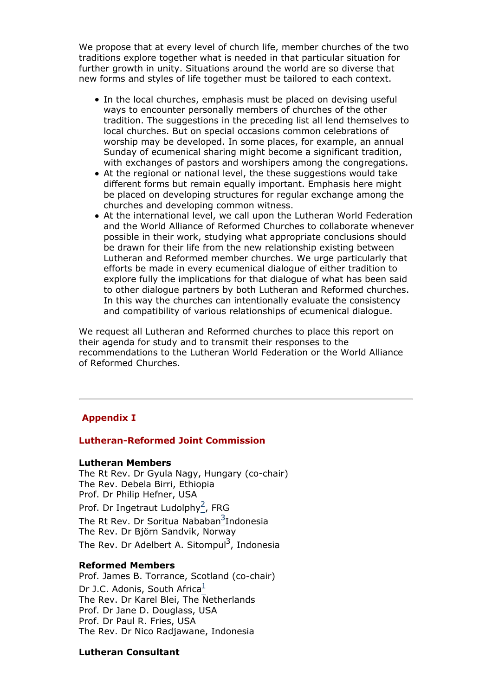We propose that at every level of church life, member churches of the two traditions explore together what is needed in that particular situation for further growth in unity. Situations around the world are so diverse that new forms and styles of life together must be tailored to each context.

- In the local churches, emphasis must be placed on devising useful ways to encounter personally members of churches of the other tradition. The suggestions in the preceding list all lend themselves to local churches. But on special occasions common celebrations of worship may be developed. In some places, for example, an annual Sunday of ecumenical sharing might become a significant tradition, with exchanges of pastors and worshipers among the congregations.
- At the regional or national level, the these suggestions would take different forms but remain equally important. Emphasis here might be placed on developing structures for regular exchange among the churches and developing common witness.
- At the international level, we call upon the Lutheran World Federation and the World Alliance of Reformed Churches to collaborate whenever possible in their work, studying what appropriate conclusions should be drawn for their life from the new relationship existing between Lutheran and Reformed member churches. We urge particularly that efforts be made in every ecumenical dialogue of either tradition to explore fully the implications for that dialogue of what has been said to other dialogue partners by both Lutheran and Reformed churches. In this way the churches can intentionally evaluate the consistency and compatibility of various relationships of ecumenical dialogue.

We request all Lutheran and Reformed churches to place this report on their agenda for study and to transmit their responses to the recommendations to the Lutheran World Federation or the World Alliance of Reformed Churches.

#### **Appendix I**

#### **Lutheran-Reformed Joint Commission**

#### **Lutheran Members**

The Rt Rev. Dr Gyula Nagy, Hungary (co-chair) The Rev. Debela Birri, Ethiopia Prof. Dr Philip Hefner, USA Prof. Dr Ingetraut Ludolphy $^2$ , FRG The Rt Rev. Dr Soritua Nababan<sup>3</sup>Indonesia The Rev. Dr Björn Sandvik, Norway The Rev. Dr Adelbert A. Sitompul<sup>3</sup>, Indonesia

#### **Reformed Members**

Prof. James B. Torrance, Scotland (co-chair) Dr J.C. Adonis, South Africa $<sup>1</sup>$ </sup> The Rev. Dr Karel Blei, The Netherlands Prof. Dr Jane D. Douglass, USA Prof. Dr Paul R. Fries, USA The Rev. Dr Nico Radjawane, Indonesia

#### **Lutheran Consultant**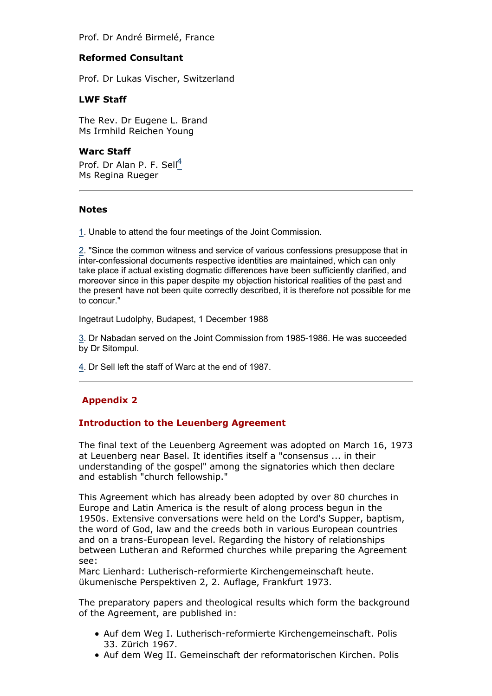Prof. Dr André Birmelé, France

# **Reformed Consultant**

Prof. Dr Lukas Vischer, Switzerland

# **LWF Staff**

The Rev. Dr Eugene L. Brand Ms Irmhild Reichen Young

# **Warc Staff**

Prof. Dr Alan P. F. Sell<sup>4</sup> Ms Regina Rueger

### **Notes**

1. Unable to attend the four meetings of the Joint Commission.

2. "Since the common witness and service of various confessions presuppose that in inter-confessional documents respective identities are maintained, which can only take place if actual existing dogmatic differences have been sufficiently clarified, and moreover since in this paper despite my objection historical realities of the past and the present have not been quite correctly described, it is therefore not possible for me to concur."

Ingetraut Ludolphy, Budapest, 1 December 1988

3. Dr Nabadan served on the Joint Commission from 1985-1986. He was succeeded by Dr Sitompul.

4. Dr Sell left the staff of Warc at the end of 1987.

# **Appendix 2**

### **Introduction to the Leuenberg Agreement**

The final text of the Leuenberg Agreement was adopted on March 16, 1973 at Leuenberg near Basel. It identifies itself a "consensus ... in their understanding of the gospel" among the signatories which then declare and establish "church fellowship."

This Agreement which has already been adopted by over 80 churches in Europe and Latin America is the result of along process begun in the 1950s. Extensive conversations were held on the Lord's Supper, baptism, the word of God, law and the creeds both in various European countries and on a trans-European level. Regarding the history of relationships between Lutheran and Reformed churches while preparing the Agreement see:

Marc Lienhard: Lutherisch-reformierte Kirchengemeinschaft heute. ükumenische Perspektiven 2, 2. Auflage, Frankfurt 1973.

The preparatory papers and theological results which form the background of the Agreement, are published in:

- Auf dem Weg I. Lutherisch-reformierte Kirchengemeinschaft. Polis 33. Zürich 1967.
- Auf dem Weg II. Gemeinschaft der reformatorischen Kirchen. Polis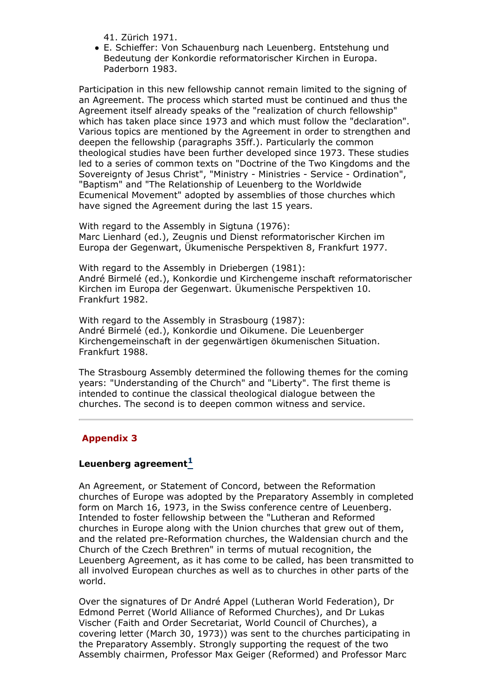41. Zürich 1971.

E. Schieffer: Von Schauenburg nach Leuenberg. Entstehung und Bedeutung der Konkordie reformatorischer Kirchen in Europa. Paderborn 1983.

Participation in this new fellowship cannot remain limited to the signing of an Agreement. The process which started must be continued and thus the Agreement itself already speaks of the "realization of church fellowship" which has taken place since 1973 and which must follow the "declaration". Various topics are mentioned by the Agreement in order to strengthen and deepen the fellowship (paragraphs 35ff.). Particularly the common theological studies have been further developed since 1973. These studies led to a series of common texts on "Doctrine of the Two Kingdoms and the Sovereignty of Jesus Christ", "Ministry - Ministries - Service - Ordination", "Baptism" and "The Relationship of Leuenberg to the Worldwide Ecumenical Movement" adopted by assemblies of those churches which have signed the Agreement during the last 15 years.

With regard to the Assembly in Sigtuna (1976): Marc Lienhard (ed.), Zeugnis und Dienst reformatorischer Kirchen im Europa der Gegenwart, Ükumenische Perspektiven 8, Frankfurt 1977.

With regard to the Assembly in Driebergen (1981): André Birmelé (ed.), Konkordie und Kirchengeme inschaft reformatorischer Kirchen im Europa der Gegenwart. Ükumenische Perspektiven 10. Frankfurt 1982.

With regard to the Assembly in Strasbourg (1987): André Birmelé (ed.), Konkordie und Oikumene. Die Leuenberger Kirchengemeinschaft in der gegenwärtigen ökumenischen Situation. Frankfurt 1988.

The Strasbourg Assembly determined the following themes for the coming years: "Understanding of the Church" and "Liberty". The first theme is intended to continue the classical theological dialogue between the churches. The second is to deepen common witness and service.

# **Appendix 3**

# **Leuenberg agreement<sup>1</sup>**

An Agreement, or Statement of Concord, between the Reformation churches of Europe was adopted by the Preparatory Assembly in completed form on March 16, 1973, in the Swiss conference centre of Leuenberg. Intended to foster fellowship between the "Lutheran and Reformed churches in Europe along with the Union churches that grew out of them, and the related pre-Reformation churches, the Waldensian church and the Church of the Czech Brethren" in terms of mutual recognition, the Leuenberg Agreement, as it has come to be called, has been transmitted to all involved European churches as well as to churches in other parts of the world.

Over the signatures of Dr André Appel (Lutheran World Federation), Dr Edmond Perret (World Alliance of Reformed Churches), and Dr Lukas Vischer (Faith and Order Secretariat, World Council of Churches), a covering letter (March 30, 1973)) was sent to the churches participating in the Preparatory Assembly. Strongly supporting the request of the two Assembly chairmen, Professor Max Geiger (Reformed) and Professor Marc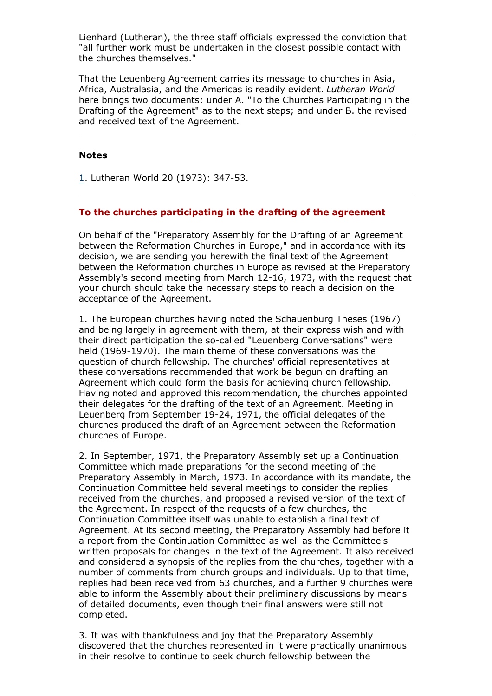Lienhard (Lutheran), the three staff officials expressed the conviction that "all further work must be undertaken in the closest possible contact with the churches themselves."

That the Leuenberg Agreement carries its message to churches in Asia, Africa, Australasia, and the Americas is readily evident. *Lutheran World* here brings two documents: under A. "To the Churches Participating in the Drafting of the Agreement" as to the next steps; and under B. the revised and received text of the Agreement.

#### **Notes**

1. Lutheran World 20 (1973): 347-53.

# **To the churches participating in the drafting of the agreement**

On behalf of the "Preparatory Assembly for the Drafting of an Agreement between the Reformation Churches in Europe," and in accordance with its decision, we are sending you herewith the final text of the Agreement between the Reformation churches in Europe as revised at the Preparatory Assembly's second meeting from March 12-16, 1973, with the request that your church should take the necessary steps to reach a decision on the acceptance of the Agreement.

1. The European churches having noted the Schauenburg Theses (1967) and being largely in agreement with them, at their express wish and with their direct participation the so-called "Leuenberg Conversations" were held (1969-1970). The main theme of these conversations was the question of church fellowship. The churches' official representatives at these conversations recommended that work be begun on drafting an Agreement which could form the basis for achieving church fellowship. Having noted and approved this recommendation, the churches appointed their delegates for the drafting of the text of an Agreement. Meeting in Leuenberg from September 19-24, 1971, the official delegates of the churches produced the draft of an Agreement between the Reformation churches of Europe.

2. In September, 1971, the Preparatory Assembly set up a Continuation Committee which made preparations for the second meeting of the Preparatory Assembly in March, 1973. In accordance with its mandate, the Continuation Committee held several meetings to consider the replies received from the churches, and proposed a revised version of the text of the Agreement. In respect of the requests of a few churches, the Continuation Committee itself was unable to establish a final text of Agreement. At its second meeting, the Preparatory Assembly had before it a report from the Continuation Committee as well as the Committee's written proposals for changes in the text of the Agreement. It also received and considered a synopsis of the replies from the churches, together with a number of comments from church groups and individuals. Up to that time, replies had been received from 63 churches, and a further 9 churches were able to inform the Assembly about their preliminary discussions by means of detailed documents, even though their final answers were still not completed.

3. It was with thankfulness and joy that the Preparatory Assembly discovered that the churches represented in it were practically unanimous in their resolve to continue to seek church fellowship between the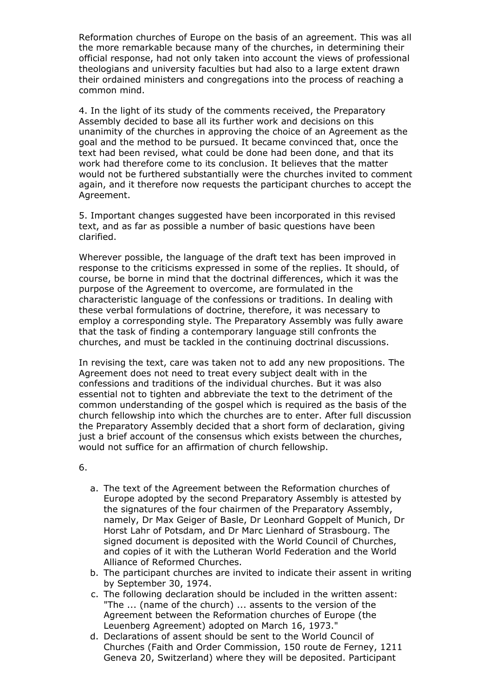Reformation churches of Europe on the basis of an agreement. This was all the more remarkable because many of the churches, in determining their official response, had not only taken into account the views of professional theologians and university faculties but had also to a large extent drawn their ordained ministers and congregations into the process of reaching a common mind.

4. In the light of its study of the comments received, the Preparatory Assembly decided to base all its further work and decisions on this unanimity of the churches in approving the choice of an Agreement as the goal and the method to be pursued. It became convinced that, once the text had been revised, what could be done had been done, and that its work had therefore come to its conclusion. It believes that the matter would not be furthered substantially were the churches invited to comment again, and it therefore now requests the participant churches to accept the Agreement.

5. Important changes suggested have been incorporated in this revised text, and as far as possible a number of basic questions have been clarified.

Wherever possible, the language of the draft text has been improved in response to the criticisms expressed in some of the replies. It should, of course, be borne in mind that the doctrinal differences, which it was the purpose of the Agreement to overcome, are formulated in the characteristic language of the confessions or traditions. In dealing with these verbal formulations of doctrine, therefore, it was necessary to employ a corresponding style. The Preparatory Assembly was fully aware that the task of finding a contemporary language still confronts the churches, and must be tackled in the continuing doctrinal discussions.

In revising the text, care was taken not to add any new propositions. The Agreement does not need to treat every subject dealt with in the confessions and traditions of the individual churches. But it was also essential not to tighten and abbreviate the text to the detriment of the common understanding of the gospel which is required as the basis of the church fellowship into which the churches are to enter. After full discussion the Preparatory Assembly decided that a short form of declaration, giving just a brief account of the consensus which exists between the churches, would not suffice for an affirmation of church fellowship.

6.

- a. The text of the Agreement between the Reformation churches of Europe adopted by the second Preparatory Assembly is attested by the signatures of the four chairmen of the Preparatory Assembly, namely, Dr Max Geiger of Basle, Dr Leonhard Goppelt of Munich, Dr Horst Lahr of Potsdam, and Dr Marc Lienhard of Strasbourg. The signed document is deposited with the World Council of Churches, and copies of it with the Lutheran World Federation and the World Alliance of Reformed Churches.
- The participant churches are invited to indicate their assent in writing b. by September 30, 1974.
- The following declaration should be included in the written assent: c. "The ... (name of the church) ... assents to the version of the Agreement between the Reformation churches of Europe (the Leuenberg Agreement) adopted on March 16, 1973."
- d. Declarations of assent should be sent to the World Council of Churches (Faith and Order Commission, 150 route de Ferney, 1211 Geneva 20, Switzerland) where they will be deposited. Participant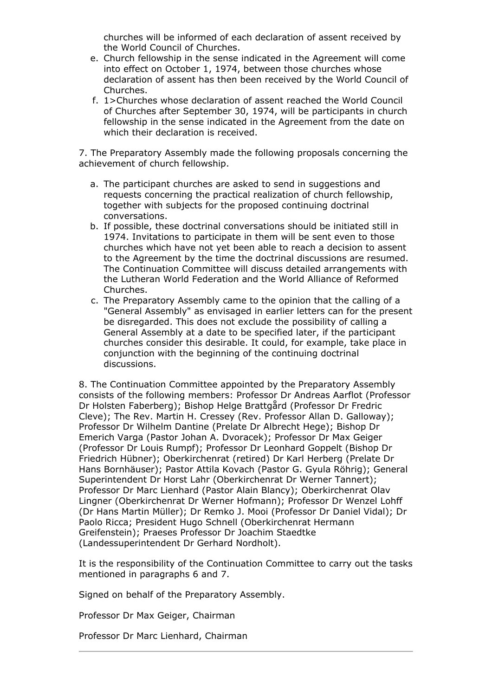churches will be informed of each declaration of assent received by the World Council of Churches.

- Church fellowship in the sense indicated in the Agreement will come e. into effect on October 1, 1974, between those churches whose declaration of assent has then been received by the World Council of Churches.
- 1>Churches whose declaration of assent reached the World Council f. of Churches after September 30, 1974, will be participants in church fellowship in the sense indicated in the Agreement from the date on which their declaration is received.

7. The Preparatory Assembly made the following proposals concerning the achievement of church fellowship.

- The participant churches are asked to send in suggestions and a. requests concerning the practical realization of church fellowship, together with subjects for the proposed continuing doctrinal conversations.
- b. If possible, these doctrinal conversations should be initiated still in 1974. Invitations to participate in them will be sent even to those churches which have not yet been able to reach a decision to assent to the Agreement by the time the doctrinal discussions are resumed. The Continuation Committee will discuss detailed arrangements with the Lutheran World Federation and the World Alliance of Reformed Churches.
- c. The Preparatory Assembly came to the opinion that the calling of a "General Assembly" as envisaged in earlier letters can for the present be disregarded. This does not exclude the possibility of calling a General Assembly at a date to be specified later, if the participant churches consider this desirable. It could, for example, take place in conjunction with the beginning of the continuing doctrinal discussions.

8. The Continuation Committee appointed by the Preparatory Assembly consists of the following members: Professor Dr Andreas Aarflot (Professor Dr Holsten Faberberg); Bishop Helge Brattgård (Professor Dr Fredric Cleve); The Rev. Martin H. Cressey (Rev. Professor Allan D. Galloway); Professor Dr Wilhelm Dantine (Prelate Dr Albrecht Hege); Bishop Dr Emerich Varga (Pastor Johan A. Dvoracek); Professor Dr Max Geiger (Professor Dr Louis Rumpf); Professor Dr Leonhard Goppelt (Bishop Dr Friedrich Hübner); Oberkirchenrat (retired) Dr Karl Herberg (Prelate Dr Hans Bornhäuser); Pastor Attila Kovach (Pastor G. Gyula Röhrig); General Superintendent Dr Horst Lahr (Oberkirchenrat Dr Werner Tannert); Professor Dr Marc Lienhard (Pastor Alain Blancy); Oberkirchenrat Olav Lingner (Oberkirchenrat Dr Werner Hofmann); Professor Dr Wenzel Lohff (Dr Hans Martin Müller); Dr Remko J. Mooi (Professor Dr Daniel Vidal); Dr Paolo Ricca; President Hugo Schnell (Oberkirchenrat Hermann Greifenstein); Praeses Professor Dr Joachim Staedtke (Landessuperintendent Dr Gerhard Nordholt).

It is the responsibility of the Continuation Committee to carry out the tasks mentioned in paragraphs 6 and 7.

Signed on behalf of the Preparatory Assembly.

Professor Dr Max Geiger, Chairman

Professor Dr Marc Lienhard, Chairman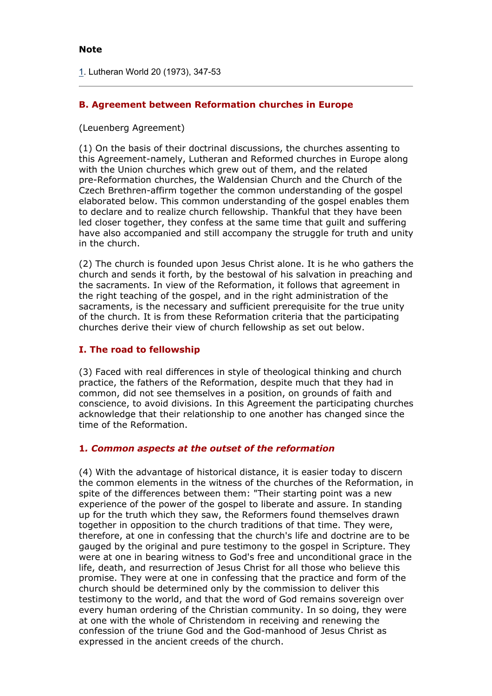1. Lutheran World 20 (1973), 347-53

# **B. Agreement between Reformation churches in Europe**

#### (Leuenberg Agreement)

(1) On the basis of their doctrinal discussions, the churches assenting to this Agreement-namely, Lutheran and Reformed churches in Europe along with the Union churches which grew out of them, and the related pre-Reformation churches, the Waldensian Church and the Church of the Czech Brethren-affirm together the common understanding of the gospel elaborated below. This common understanding of the gospel enables them to declare and to realize church fellowship. Thankful that they have been led closer together, they confess at the same time that guilt and suffering have also accompanied and still accompany the struggle for truth and unity in the church.

(2) The church is founded upon Jesus Christ alone. It is he who gathers the church and sends it forth, by the bestowal of his salvation in preaching and the sacraments. In view of the Reformation, it follows that agreement in the right teaching of the gospel, and in the right administration of the sacraments, is the necessary and sufficient prerequisite for the true unity of the church. It is from these Reformation criteria that the participating churches derive their view of church fellowship as set out below.

### **I. The road to fellowship**

(3) Faced with real differences in style of theological thinking and church practice, the fathers of the Reformation, despite much that they had in common, did not see themselves in a position, on grounds of faith and conscience, to avoid divisions. In this Agreement the participating churches acknowledge that their relationship to one another has changed since the time of the Reformation.

### **1***. Common aspects at the outset of the reformation*

(4) With the advantage of historical distance, it is easier today to discern the common elements in the witness of the churches of the Reformation, in spite of the differences between them: "Their starting point was a new experience of the power of the gospel to liberate and assure. In standing up for the truth which they saw, the Reformers found themselves drawn together in opposition to the church traditions of that time. They were, therefore, at one in confessing that the church's life and doctrine are to be gauged by the original and pure testimony to the gospel in Scripture. They were at one in bearing witness to God's free and unconditional grace in the life, death, and resurrection of Jesus Christ for all those who believe this promise. They were at one in confessing that the practice and form of the church should be determined only by the commission to deliver this testimony to the world, and that the word of God remains sovereign over every human ordering of the Christian community. In so doing, they were at one with the whole of Christendom in receiving and renewing the confession of the triune God and the God-manhood of Jesus Christ as expressed in the ancient creeds of the church.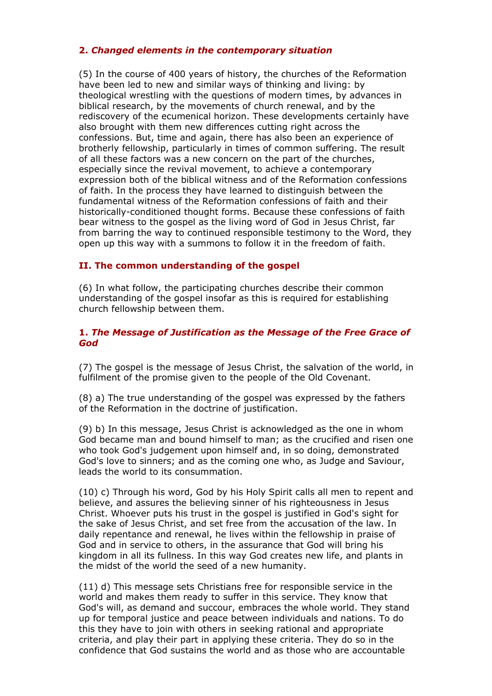# **2.** *Changed elements in the contemporary situation*

(5) In the course of 400 years of history, the churches of the Reformation have been led to new and similar ways of thinking and living: by theological wrestling with the questions of modern times, by advances in biblical research, by the movements of church renewal, and by the rediscovery of the ecumenical horizon. These developments certainly have also brought with them new differences cutting right across the confessions. But, time and again, there has also been an experience of brotherly fellowship, particularly in times of common suffering. The result of all these factors was a new concern on the part of the churches, especially since the revival movement, to achieve a contemporary expression both of the biblical witness and of the Reformation confessions of faith. In the process they have learned to distinguish between the fundamental witness of the Reformation confessions of faith and their historically-conditioned thought forms. Because these confessions of faith bear witness to the gospel as the living word of God in Jesus Christ, far from barring the way to continued responsible testimony to the Word, they open up this way with a summons to follow it in the freedom of faith.

### **II. The common understanding of the gospel**

(6) In what follow, the participating churches describe their common understanding of the gospel insofar as this is required for establishing church fellowship between them.

### **1.** *The Message of Justification as the Message of the Free Grace of God*

(7) The gospel is the message of Jesus Christ, the salvation of the world, in fulfilment of the promise given to the people of the Old Covenant.

(8) a) The true understanding of the gospel was expressed by the fathers of the Reformation in the doctrine of justification.

(9) b) In this message, Jesus Christ is acknowledged as the one in whom God became man and bound himself to man; as the crucified and risen one who took God's judgement upon himself and, in so doing, demonstrated God's love to sinners; and as the coming one who, as Judge and Saviour, leads the world to its consummation.

(10) c) Through his word, God by his Holy Spirit calls all men to repent and believe, and assures the believing sinner of his righteousness in Jesus Christ. Whoever puts his trust in the gospel is justified in God's sight for the sake of Jesus Christ, and set free from the accusation of the law. In daily repentance and renewal, he lives within the fellowship in praise of God and in service to others, in the assurance that God will bring his kingdom in all its fullness. In this way God creates new life, and plants in the midst of the world the seed of a new humanity.

(11) d) This message sets Christians free for responsible service in the world and makes them ready to suffer in this service. They know that God's will, as demand and succour, embraces the whole world. They stand up for temporal justice and peace between individuals and nations. To do this they have to join with others in seeking rational and appropriate criteria, and play their part in applying these criteria. They do so in the confidence that God sustains the world and as those who are accountable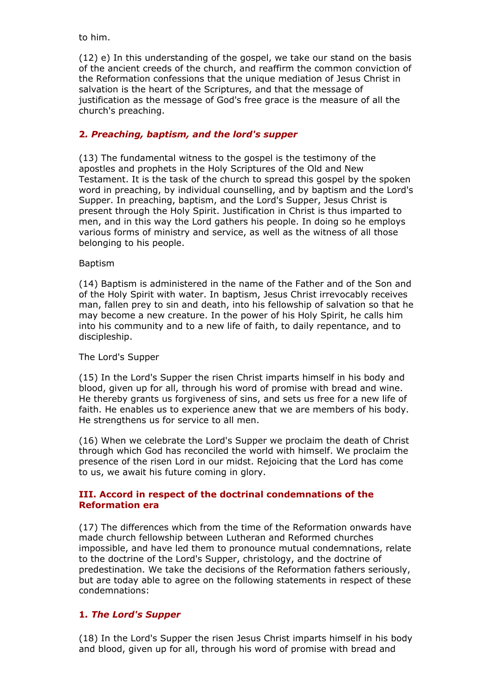to him.

(12) e) In this understanding of the gospel, we take our stand on the basis of the ancient creeds of the church, and reaffirm the common conviction of the Reformation confessions that the unique mediation of Jesus Christ in salvation is the heart of the Scriptures, and that the message of justification as the message of God's free grace is the measure of all the church's preaching.

# **2***. Preaching, baptism, and the lord's supper*

(13) The fundamental witness to the gospel is the testimony of the apostles and prophets in the Holy Scriptures of the Old and New Testament. It is the task of the church to spread this gospel by the spoken word in preaching, by individual counselling, and by baptism and the Lord's Supper. In preaching, baptism, and the Lord's Supper, Jesus Christ is present through the Holy Spirit. Justification in Christ is thus imparted to men, and in this way the Lord gathers his people. In doing so he employs various forms of ministry and service, as well as the witness of all those belonging to his people.

#### Baptism

(14) Baptism is administered in the name of the Father and of the Son and of the Holy Spirit with water. In baptism, Jesus Christ irrevocably receives man, fallen prey to sin and death, into his fellowship of salvation so that he may become a new creature. In the power of his Holy Spirit, he calls him into his community and to a new life of faith, to daily repentance, and to discipleship.

### The Lord's Supper

(15) In the Lord's Supper the risen Christ imparts himself in his body and blood, given up for all, through his word of promise with bread and wine. He thereby grants us forgiveness of sins, and sets us free for a new life of faith. He enables us to experience anew that we are members of his body. He strengthens us for service to all men.

(16) When we celebrate the Lord's Supper we proclaim the death of Christ through which God has reconciled the world with himself. We proclaim the presence of the risen Lord in our midst. Rejoicing that the Lord has come to us, we await his future coming in glory.

### **III. Accord in respect of the doctrinal condemnations of the Reformation era**

(17) The differences which from the time of the Reformation onwards have made church fellowship between Lutheran and Reformed churches impossible, and have led them to pronounce mutual condemnations, relate to the doctrine of the Lord's Supper, christology, and the doctrine of predestination. We take the decisions of the Reformation fathers seriously, but are today able to agree on the following statements in respect of these condemnations:

### **1***. The Lord's Supper*

(18) In the Lord's Supper the risen Jesus Christ imparts himself in his body and blood, given up for all, through his word of promise with bread and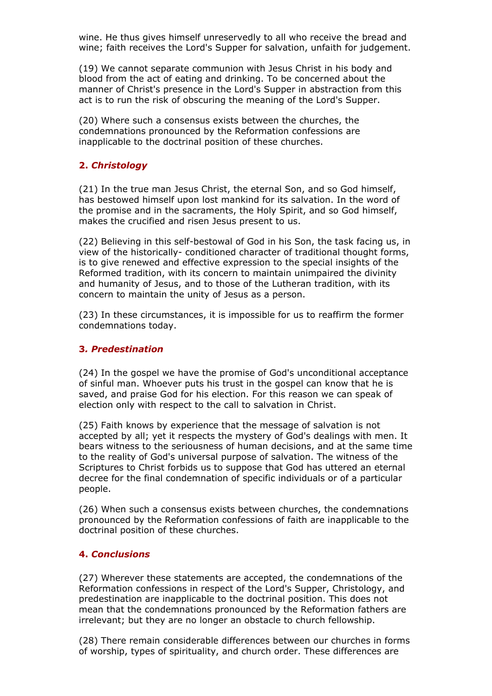wine. He thus gives himself unreservedly to all who receive the bread and wine; faith receives the Lord's Supper for salvation, unfaith for judgement.

(19) We cannot separate communion with Jesus Christ in his body and blood from the act of eating and drinking. To be concerned about the manner of Christ's presence in the Lord's Supper in abstraction from this act is to run the risk of obscuring the meaning of the Lord's Supper.

(20) Where such a consensus exists between the churches, the condemnations pronounced by the Reformation confessions are inapplicable to the doctrinal position of these churches.

# **2.** *Christology*

(21) In the true man Jesus Christ, the eternal Son, and so God himself, has bestowed himself upon lost mankind for its salvation. In the word of the promise and in the sacraments, the Holy Spirit, and so God himself, makes the crucified and risen Jesus present to us.

(22) Believing in this self-bestowal of God in his Son, the task facing us, in view of the historically- conditioned character of traditional thought forms, is to give renewed and effective expression to the special insights of the Reformed tradition, with its concern to maintain unimpaired the divinity and humanity of Jesus, and to those of the Lutheran tradition, with its concern to maintain the unity of Jesus as a person.

(23) In these circumstances, it is impossible for us to reaffirm the former condemnations today.

### **3***. Predestination*

(24) In the gospel we have the promise of God's unconditional acceptance of sinful man. Whoever puts his trust in the gospel can know that he is saved, and praise God for his election. For this reason we can speak of election only with respect to the call to salvation in Christ.

(25) Faith knows by experience that the message of salvation is not accepted by all; yet it respects the mystery of God's dealings with men. It bears witness to the seriousness of human decisions, and at the same time to the reality of God's universal purpose of salvation. The witness of the Scriptures to Christ forbids us to suppose that God has uttered an eternal decree for the final condemnation of specific individuals or of a particular people.

(26) When such a consensus exists between churches, the condemnations pronounced by the Reformation confessions of faith are inapplicable to the doctrinal position of these churches.

### **4.** *Conclusions*

(27) Wherever these statements are accepted, the condemnations of the Reformation confessions in respect of the Lord's Supper, Christology, and predestination are inapplicable to the doctrinal position. This does not mean that the condemnations pronounced by the Reformation fathers are irrelevant; but they are no longer an obstacle to church fellowship.

(28) There remain considerable differences between our churches in forms of worship, types of spirituality, and church order. These differences are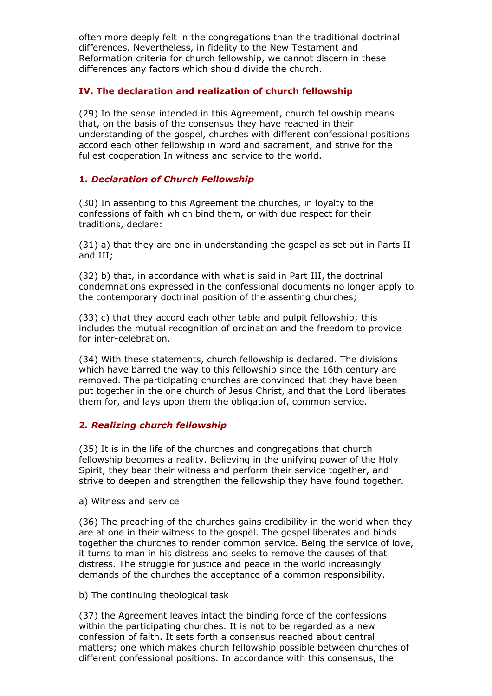often more deeply felt in the congregations than the traditional doctrinal differences. Nevertheless, in fidelity to the New Testament and Reformation criteria for church fellowship, we cannot discern in these differences any factors which should divide the church.

# **IV. The declaration and realization of church fellowship**

(29) In the sense intended in this Agreement, church fellowship means that, on the basis of the consensus they have reached in their understanding of the gospel, churches with different confessional positions accord each other fellowship in word and sacrament, and strive for the fullest cooperation In witness and service to the world.

# **1***. Declaration of Church Fellowship*

(30) In assenting to this Agreement the churches, in loyalty to the confessions of faith which bind them, or with due respect for their traditions, declare:

(31) a) that they are one in understanding the gospel as set out in Parts II and III;

(32) b) that, in accordance with what is said in Part III, the doctrinal condemnations expressed in the confessional documents no longer apply to the contemporary doctrinal position of the assenting churches;

(33) c) that they accord each other table and pulpit fellowship; this includes the mutual recognition of ordination and the freedom to provide for inter-celebration.

(34) With these statements, church fellowship is declared. The divisions which have barred the way to this fellowship since the 16th century are removed. The participating churches are convinced that they have been put together in the one church of Jesus Christ, and that the Lord liberates them for, and lays upon them the obligation of, common service.

# **2***. Realizing church fellowship*

(35) It is in the life of the churches and congregations that church fellowship becomes a reality. Believing in the unifying power of the Holy Spirit, they bear their witness and perform their service together, and strive to deepen and strengthen the fellowship they have found together.

a) Witness and service

(36) The preaching of the churches gains credibility in the world when they are at one in their witness to the gospel. The gospel liberates and binds together the churches to render common service. Being the service of love, it turns to man in his distress and seeks to remove the causes of that distress. The struggle for justice and peace in the world increasingly demands of the churches the acceptance of a common responsibility.

b) The continuing theological task

(37) the Agreement leaves intact the binding force of the confessions within the participating churches. It is not to be regarded as a new confession of faith. It sets forth a consensus reached about central matters; one which makes church fellowship possible between churches of different confessional positions. In accordance with this consensus, the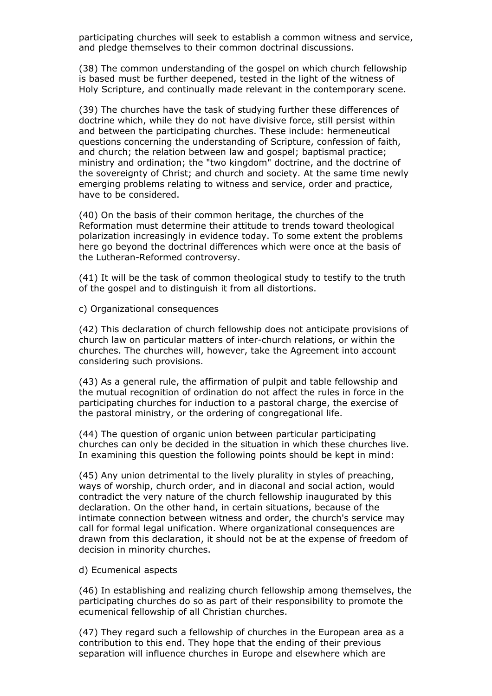participating churches will seek to establish a common witness and service, and pledge themselves to their common doctrinal discussions.

(38) The common understanding of the gospel on which church fellowship is based must be further deepened, tested in the light of the witness of Holy Scripture, and continually made relevant in the contemporary scene.

(39) The churches have the task of studying further these differences of doctrine which, while they do not have divisive force, still persist within and between the participating churches. These include: hermeneutical questions concerning the understanding of Scripture, confession of faith, and church; the relation between law and gospel; baptismal practice; ministry and ordination; the "two kingdom" doctrine, and the doctrine of the sovereignty of Christ; and church and society. At the same time newly emerging problems relating to witness and service, order and practice, have to be considered.

(40) On the basis of their common heritage, the churches of the Reformation must determine their attitude to trends toward theological polarization increasingly in evidence today. To some extent the problems here go beyond the doctrinal differences which were once at the basis of the Lutheran-Reformed controversy.

(41) It will be the task of common theological study to testify to the truth of the gospel and to distinguish it from all distortions.

c) Organizational consequences

(42) This declaration of church fellowship does not anticipate provisions of church law on particular matters of inter-church relations, or within the churches. The churches will, however, take the Agreement into account considering such provisions.

(43) As a general rule, the affirmation of pulpit and table fellowship and the mutual recognition of ordination do not affect the rules in force in the participating churches for induction to a pastoral charge, the exercise of the pastoral ministry, or the ordering of congregational life.

(44) The question of organic union between particular participating churches can only be decided in the situation in which these churches live. In examining this question the following points should be kept in mind:

(45) Any union detrimental to the lively plurality in styles of preaching, ways of worship, church order, and in diaconal and social action, would contradict the very nature of the church fellowship inaugurated by this declaration. On the other hand, in certain situations, because of the intimate connection between witness and order, the church's service may call for formal legal unification. Where organizational consequences are drawn from this declaration, it should not be at the expense of freedom of decision in minority churches.

### d) Ecumenical aspects

(46) In establishing and realizing church fellowship among themselves, the participating churches do so as part of their responsibility to promote the ecumenical fellowship of all Christian churches.

(47) They regard such a fellowship of churches in the European area as a contribution to this end. They hope that the ending of their previous separation will influence churches in Europe and elsewhere which are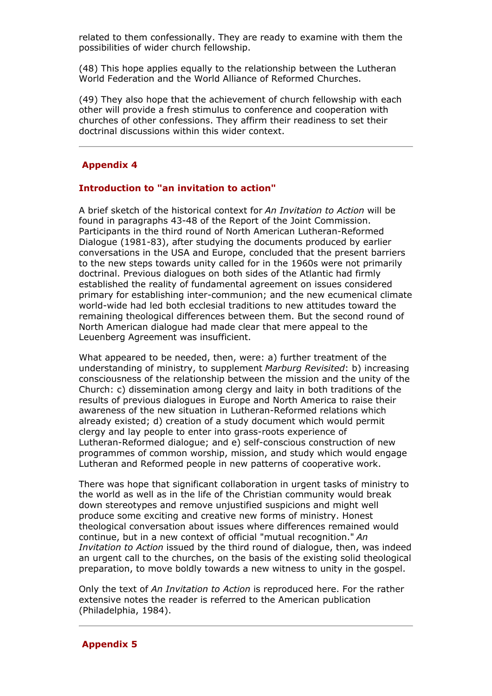related to them confessionally. They are ready to examine with them the possibilities of wider church fellowship.

(48) This hope applies equally to the relationship between the Lutheran World Federation and the World Alliance of Reformed Churches.

(49) They also hope that the achievement of church fellowship with each other will provide a fresh stimulus to conference and cooperation with churches of other confessions. They affirm their readiness to set their doctrinal discussions within this wider context.

#### **Appendix 4**

# **Introduction to "an invitation to action"**

A brief sketch of the historical context for *An Invitation to Action* will be found in paragraphs 43-48 of the Report of the Joint Commission. Participants in the third round of North American Lutheran-Reformed Dialogue (1981-83), after studying the documents produced by earlier conversations in the USA and Europe, concluded that the present barriers to the new steps towards unity called for in the 1960s were not primarily doctrinal. Previous dialogues on both sides of the Atlantic had firmly established the reality of fundamental agreement on issues considered primary for establishing inter-communion; and the new ecumenical climate world-wide had led both ecclesial traditions to new attitudes toward the remaining theological differences between them. But the second round of North American dialogue had made clear that mere appeal to the Leuenberg Agreement was insufficient.

What appeared to be needed, then, were: a) further treatment of the understanding of ministry, to supplement *Marburg Revisited*: b) increasing consciousness of the relationship between the mission and the unity of the Church: c) dissemination among clergy and laity in both traditions of the results of previous dialogues in Europe and North America to raise their awareness of the new situation in Lutheran-Reformed relations which already existed; d) creation of a study document which would permit clergy and lay people to enter into grass-roots experience of Lutheran-Reformed dialogue; and e) self-conscious construction of new programmes of common worship, mission, and study which would engage Lutheran and Reformed people in new patterns of cooperative work.

There was hope that significant collaboration in urgent tasks of ministry to the world as well as in the life of the Christian community would break down stereotypes and remove unjustified suspicions and might well produce some exciting and creative new forms of ministry. Honest theological conversation about issues where differences remained would continue, but in a new context of official "mutual recognition." *An Invitation to Action* issued by the third round of dialogue, then, was indeed an urgent call to the churches, on the basis of the existing solid theological preparation, to move boldly towards a new witness to unity in the gospel.

Only the text of *An Invitation to Action* is reproduced here. For the rather extensive notes the reader is referred to the American publication (Philadelphia, 1984).

#### **Appendix 5**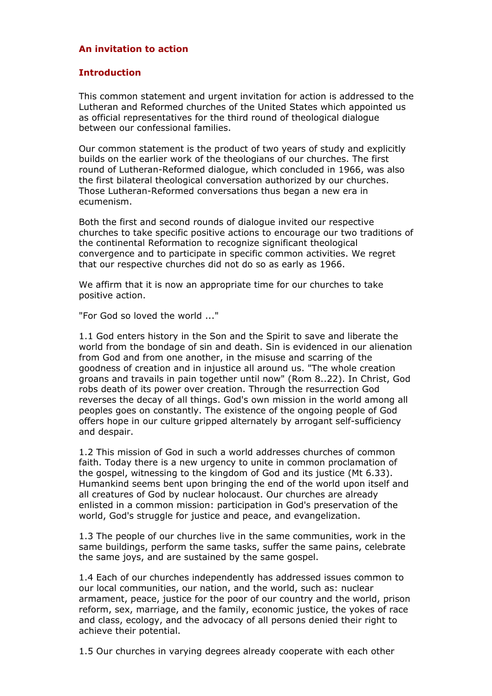# **An invitation to action**

#### **Introduction**

This common statement and urgent invitation for action is addressed to the Lutheran and Reformed churches of the United States which appointed us as official representatives for the third round of theological dialogue between our confessional families.

Our common statement is the product of two years of study and explicitly builds on the earlier work of the theologians of our churches. The first round of Lutheran-Reformed dialogue, which concluded in 1966, was also the first bilateral theological conversation authorized by our churches. Those Lutheran-Reformed conversations thus began a new era in ecumenism.

Both the first and second rounds of dialogue invited our respective churches to take specific positive actions to encourage our two traditions of the continental Reformation to recognize significant theological convergence and to participate in specific common activities. We regret that our respective churches did not do so as early as 1966.

We affirm that it is now an appropriate time for our churches to take positive action.

"For God so loved the world ..."

1.1 God enters history in the Son and the Spirit to save and liberate the world from the bondage of sin and death. Sin is evidenced in our alienation from God and from one another, in the misuse and scarring of the goodness of creation and in injustice all around us. "The whole creation groans and travails in pain together until now" (Rom 8..22). In Christ, God robs death of its power over creation. Through the resurrection God reverses the decay of all things. God's own mission in the world among all peoples goes on constantly. The existence of the ongoing people of God offers hope in our culture gripped alternately by arrogant self-sufficiency and despair.

1.2 This mission of God in such a world addresses churches of common faith. Today there is a new urgency to unite in common proclamation of the gospel, witnessing to the kingdom of God and its justice (Mt 6.33). Humankind seems bent upon bringing the end of the world upon itself and all creatures of God by nuclear holocaust. Our churches are already enlisted in a common mission: participation in God's preservation of the world, God's struggle for justice and peace, and evangelization.

1.3 The people of our churches live in the same communities, work in the same buildings, perform the same tasks, suffer the same pains, celebrate the same joys, and are sustained by the same gospel.

1.4 Each of our churches independently has addressed issues common to our local communities, our nation, and the world, such as: nuclear armament, peace, justice for the poor of our country and the world, prison reform, sex, marriage, and the family, economic justice, the yokes of race and class, ecology, and the advocacy of all persons denied their right to achieve their potential.

1.5 Our churches in varying degrees already cooperate with each other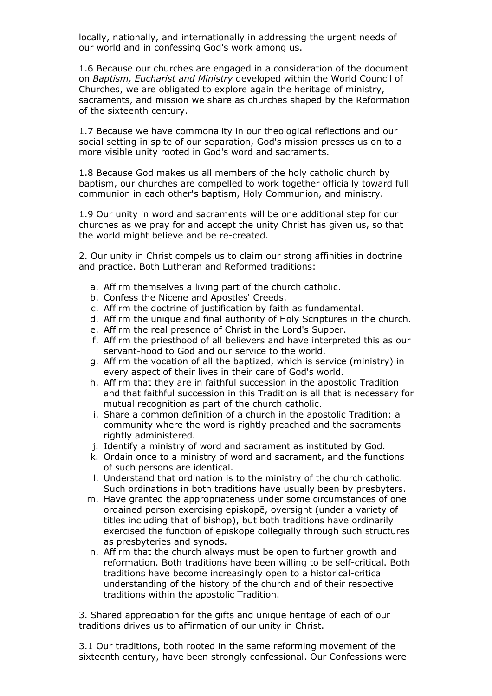locally, nationally, and internationally in addressing the urgent needs of our world and in confessing God's work among us.

1.6 Because our churches are engaged in a consideration of the document on *Baptism, Eucharist and Ministry* developed within the World Council of Churches, we are obligated to explore again the heritage of ministry, sacraments, and mission we share as churches shaped by the Reformation of the sixteenth century.

1.7 Because we have commonality in our theological reflections and our social setting in spite of our separation, God's mission presses us on to a more visible unity rooted in God's word and sacraments.

1.8 Because God makes us all members of the holy catholic church by baptism, our churches are compelled to work together officially toward full communion in each other's baptism, Holy Communion, and ministry.

1.9 Our unity in word and sacraments will be one additional step for our churches as we pray for and accept the unity Christ has given us, so that the world might believe and be re-created.

2. Our unity in Christ compels us to claim our strong affinities in doctrine and practice. Both Lutheran and Reformed traditions:

- a. Affirm themselves a living part of the church catholic.
- b. Confess the Nicene and Apostles' Creeds.
- c. Affirm the doctrine of justification by faith as fundamental.
- d. Affirm the unique and final authority of Holy Scriptures in the church.
- e. Affirm the real presence of Christ in the Lord's Supper.
- f. Affirm the priesthood of all believers and have interpreted this as our servant-hood to God and our service to the world.
- Affirm the vocation of all the baptized, which is service (ministry) in g. every aspect of their lives in their care of God's world.
- h. Affirm that they are in faithful succession in the apostolic Tradition and that faithful succession in this Tradition is all that is necessary for mutual recognition as part of the church catholic.
- i. Share a common definition of a church in the apostolic Tradition: a community where the word is rightly preached and the sacraments rightly administered.
- j. Identify a ministry of word and sacrament as instituted by God.
- Ordain once to a ministry of word and sacrament, and the functions k. of such persons are identical.
- Understand that ordination is to the ministry of the church catholic. l. Such ordinations in both traditions have usually been by presbyters.
- m. Have granted the appropriateness under some circumstances of one ordained person exercising episkopē, oversight (under a variety of titles including that of bishop), but both traditions have ordinarily exercised the function of episkopē collegially through such structures as presbyteries and synods.
- n. Affirm that the church always must be open to further growth and reformation. Both traditions have been willing to be self-critical. Both traditions have become increasingly open to a historical-critical understanding of the history of the church and of their respective traditions within the apostolic Tradition.

3. Shared appreciation for the gifts and unique heritage of each of our traditions drives us to affirmation of our unity in Christ.

3.1 Our traditions, both rooted in the same reforming movement of the sixteenth century, have been strongly confessional. Our Confessions were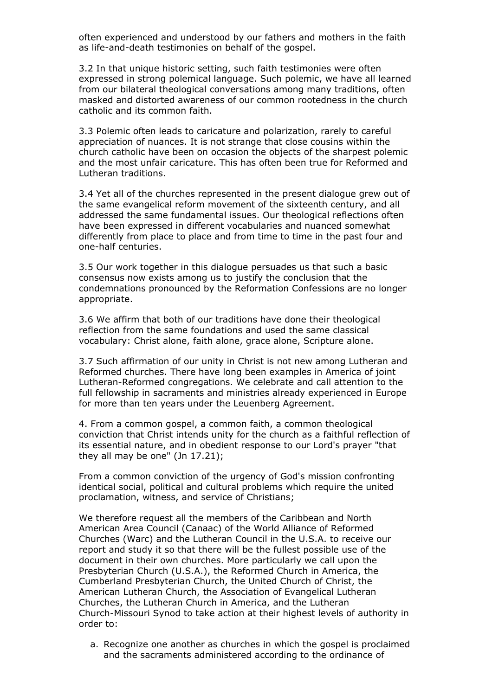often experienced and understood by our fathers and mothers in the faith as life-and-death testimonies on behalf of the gospel.

3.2 In that unique historic setting, such faith testimonies were often expressed in strong polemical language. Such polemic, we have all learned from our bilateral theological conversations among many traditions, often masked and distorted awareness of our common rootedness in the church catholic and its common faith.

3.3 Polemic often leads to caricature and polarization, rarely to careful appreciation of nuances. It is not strange that close cousins within the church catholic have been on occasion the objects of the sharpest polemic and the most unfair caricature. This has often been true for Reformed and Lutheran traditions.

3.4 Yet all of the churches represented in the present dialogue grew out of the same evangelical reform movement of the sixteenth century, and all addressed the same fundamental issues. Our theological reflections often have been expressed in different vocabularies and nuanced somewhat differently from place to place and from time to time in the past four and one-half centuries.

3.5 Our work together in this dialogue persuades us that such a basic consensus now exists among us to justify the conclusion that the condemnations pronounced by the Reformation Confessions are no longer appropriate.

3.6 We affirm that both of our traditions have done their theological reflection from the same foundations and used the same classical vocabulary: Christ alone, faith alone, grace alone, Scripture alone.

3.7 Such affirmation of our unity in Christ is not new among Lutheran and Reformed churches. There have long been examples in America of joint Lutheran-Reformed congregations. We celebrate and call attention to the full fellowship in sacraments and ministries already experienced in Europe for more than ten years under the Leuenberg Agreement.

4. From a common gospel, a common faith, a common theological conviction that Christ intends unity for the church as a faithful reflection of its essential nature, and in obedient response to our Lord's prayer "that they all may be one" (Jn 17.21);

From a common conviction of the urgency of God's mission confronting identical social, political and cultural problems which require the united proclamation, witness, and service of Christians;

We therefore request all the members of the Caribbean and North American Area Council (Canaac) of the World Alliance of Reformed Churches (Warc) and the Lutheran Council in the U.S.A. to receive our report and study it so that there will be the fullest possible use of the document in their own churches. More particularly we call upon the Presbyterian Church (U.S.A.), the Reformed Church in America, the Cumberland Presbyterian Church, the United Church of Christ, the American Lutheran Church, the Association of Evangelical Lutheran Churches, the Lutheran Church in America, and the Lutheran Church-Missouri Synod to take action at their highest levels of authority in order to:

a. Recognize one another as churches in which the gospel is proclaimed and the sacraments administered according to the ordinance of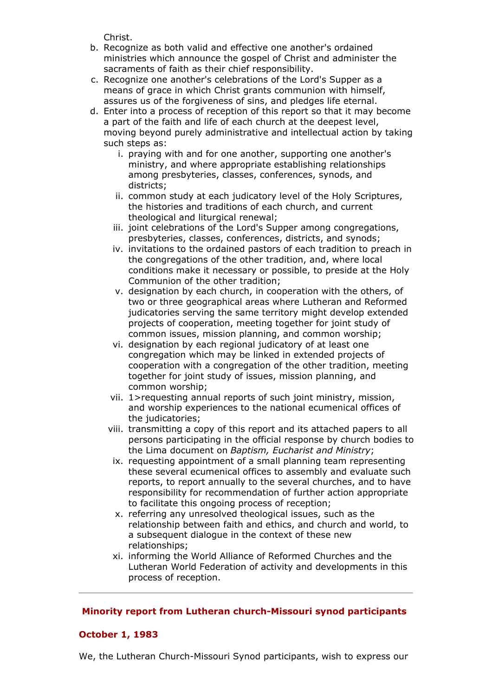Christ.

- b. Recognize as both valid and effective one another's ordained ministries which announce the gospel of Christ and administer the sacraments of faith as their chief responsibility.
- c. Recognize one another's celebrations of the Lord's Supper as a means of grace in which Christ grants communion with himself, assures us of the forgiveness of sins, and pledges life eternal.
- d. Enter into a process of reception of this report so that it may become a part of the faith and life of each church at the deepest level, moving beyond purely administrative and intellectual action by taking such steps as:
	- i. praying with and for one another, supporting one another's ministry, and where appropriate establishing relationships among presbyteries, classes, conferences, synods, and districts;
	- ii. common study at each judicatory level of the Holy Scriptures, the histories and traditions of each church, and current theological and liturgical renewal;
	- iii. joint celebrations of the Lord's Supper among congregations, presbyteries, classes, conferences, districts, and synods;
	- iv. invitations to the ordained pastors of each tradition to preach in the congregations of the other tradition, and, where local conditions make it necessary or possible, to preside at the Holy Communion of the other tradition;
	- v. designation by each church, in cooperation with the others, of two or three geographical areas where Lutheran and Reformed judicatories serving the same territory might develop extended projects of cooperation, meeting together for joint study of common issues, mission planning, and common worship;
	- vi. designation by each regional judicatory of at least one congregation which may be linked in extended projects of cooperation with a congregation of the other tradition, meeting together for joint study of issues, mission planning, and common worship;
	- vii. 1>requesting annual reports of such joint ministry, mission, and worship experiences to the national ecumenical offices of the judicatories;
	- viii. transmitting a copy of this report and its attached papers to all persons participating in the official response by church bodies to the Lima document on *Baptism, Eucharist and Ministry*;
	- ix. requesting appointment of a small planning team representing these several ecumenical offices to assembly and evaluate such reports, to report annually to the several churches, and to have responsibility for recommendation of further action appropriate to facilitate this ongoing process of reception;
	- x. referring any unresolved theological issues, such as the relationship between faith and ethics, and church and world, to a subsequent dialogue in the context of these new relationships;
	- xi. informing the World Alliance of Reformed Churches and the Lutheran World Federation of activity and developments in this process of reception.

# **Minority report from Lutheran church-Missouri synod participants**

# **October 1, 1983**

We, the Lutheran Church-Missouri Synod participants, wish to express our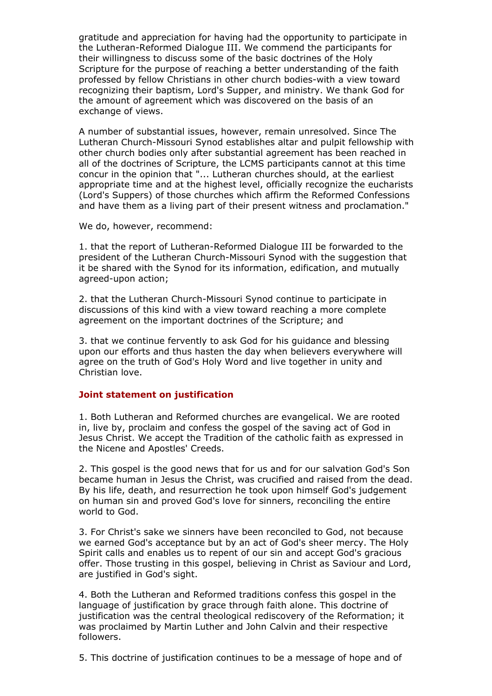gratitude and appreciation for having had the opportunity to participate in the Lutheran-Reformed Dialogue III. We commend the participants for their willingness to discuss some of the basic doctrines of the Holy Scripture for the purpose of reaching a better understanding of the faith professed by fellow Christians in other church bodies-with a view toward recognizing their baptism, Lord's Supper, and ministry. We thank God for the amount of agreement which was discovered on the basis of an exchange of views.

A number of substantial issues, however, remain unresolved. Since The Lutheran Church-Missouri Synod establishes altar and pulpit fellowship with other church bodies only after substantial agreement has been reached in all of the doctrines of Scripture, the LCMS participants cannot at this time concur in the opinion that "... Lutheran churches should, at the earliest appropriate time and at the highest level, officially recognize the eucharists (Lord's Suppers) of those churches which affirm the Reformed Confessions and have them as a living part of their present witness and proclamation."

We do, however, recommend:

1. that the report of Lutheran-Reformed Dialogue III be forwarded to the president of the Lutheran Church-Missouri Synod with the suggestion that it be shared with the Synod for its information, edification, and mutually agreed-upon action;

2. that the Lutheran Church-Missouri Synod continue to participate in discussions of this kind with a view toward reaching a more complete agreement on the important doctrines of the Scripture; and

3. that we continue fervently to ask God for his guidance and blessing upon our efforts and thus hasten the day when believers everywhere will agree on the truth of God's Holy Word and live together in unity and Christian love.

### **Joint statement on justification**

1. Both Lutheran and Reformed churches are evangelical. We are rooted in, live by, proclaim and confess the gospel of the saving act of God in Jesus Christ. We accept the Tradition of the catholic faith as expressed in the Nicene and Apostles' Creeds.

2. This gospel is the good news that for us and for our salvation God's Son became human in Jesus the Christ, was crucified and raised from the dead. By his life, death, and resurrection he took upon himself God's judgement on human sin and proved God's love for sinners, reconciling the entire world to God.

3. For Christ's sake we sinners have been reconciled to God, not because we earned God's acceptance but by an act of God's sheer mercy. The Holy Spirit calls and enables us to repent of our sin and accept God's gracious offer. Those trusting in this gospel, believing in Christ as Saviour and Lord, are justified in God's sight.

4. Both the Lutheran and Reformed traditions confess this gospel in the language of justification by grace through faith alone. This doctrine of justification was the central theological rediscovery of the Reformation; it was proclaimed by Martin Luther and John Calvin and their respective followers.

5. This doctrine of justification continues to be a message of hope and of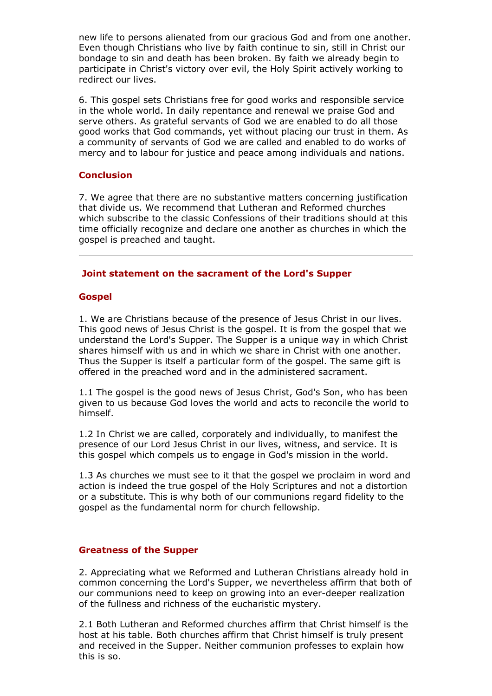new life to persons alienated from our gracious God and from one another. Even though Christians who live by faith continue to sin, still in Christ our bondage to sin and death has been broken. By faith we already begin to participate in Christ's victory over evil, the Holy Spirit actively working to redirect our lives.

6. This gospel sets Christians free for good works and responsible service in the whole world. In daily repentance and renewal we praise God and serve others. As grateful servants of God we are enabled to do all those good works that God commands, yet without placing our trust in them. As a community of servants of God we are called and enabled to do works of mercy and to labour for justice and peace among individuals and nations.

# **Conclusion**

7. We agree that there are no substantive matters concerning justification that divide us. We recommend that Lutheran and Reformed churches which subscribe to the classic Confessions of their traditions should at this time officially recognize and declare one another as churches in which the gospel is preached and taught.

### **Joint statement on the sacrament of the Lord's Supper**

# **Gospel**

1. We are Christians because of the presence of Jesus Christ in our lives. This good news of Jesus Christ is the gospel. It is from the gospel that we understand the Lord's Supper. The Supper is a unique way in which Christ shares himself with us and in which we share in Christ with one another. Thus the Supper is itself a particular form of the gospel. The same gift is offered in the preached word and in the administered sacrament.

1.1 The gospel is the good news of Jesus Christ, God's Son, who has been given to us because God loves the world and acts to reconcile the world to himself.

1.2 In Christ we are called, corporately and individually, to manifest the presence of our Lord Jesus Christ in our lives, witness, and service. It is this gospel which compels us to engage in God's mission in the world.

1.3 As churches we must see to it that the gospel we proclaim in word and action is indeed the true gospel of the Holy Scriptures and not a distortion or a substitute. This is why both of our communions regard fidelity to the gospel as the fundamental norm for church fellowship.

### **Greatness of the Supper**

2. Appreciating what we Reformed and Lutheran Christians already hold in common concerning the Lord's Supper, we nevertheless affirm that both of our communions need to keep on growing into an ever-deeper realization of the fullness and richness of the eucharistic mystery.

2.1 Both Lutheran and Reformed churches affirm that Christ himself is the host at his table. Both churches affirm that Christ himself is truly present and received in the Supper. Neither communion professes to explain how this is so.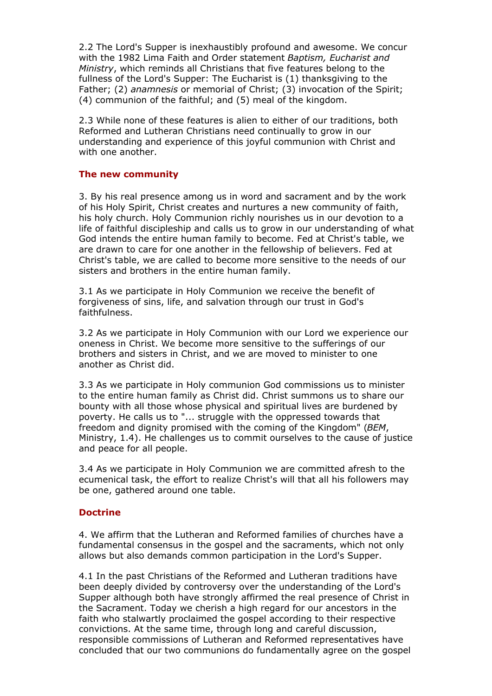2.2 The Lord's Supper is inexhaustibly profound and awesome. We concur with the 1982 Lima Faith and Order statement *Baptism, Eucharist and Ministry*, which reminds all Christians that five features belong to the fullness of the Lord's Supper: The Eucharist is (1) thanksgiving to the Father; (2) *anamnesis* or memorial of Christ; (3) invocation of the Spirit; (4) communion of the faithful; and (5) meal of the kingdom.

2.3 While none of these features is alien to either of our traditions, both Reformed and Lutheran Christians need continually to grow in our understanding and experience of this joyful communion with Christ and with one another.

#### **The new community**

3. By his real presence among us in word and sacrament and by the work of his Holy Spirit, Christ creates and nurtures a new community of faith, his holy church. Holy Communion richly nourishes us in our devotion to a life of faithful discipleship and calls us to grow in our understanding of what God intends the entire human family to become. Fed at Christ's table, we are drawn to care for one another in the fellowship of believers. Fed at Christ's table, we are called to become more sensitive to the needs of our sisters and brothers in the entire human family.

3.1 As we participate in Holy Communion we receive the benefit of forgiveness of sins, life, and salvation through our trust in God's faithfulness.

3.2 As we participate in Holy Communion with our Lord we experience our oneness in Christ. We become more sensitive to the sufferings of our brothers and sisters in Christ, and we are moved to minister to one another as Christ did.

3.3 As we participate in Holy communion God commissions us to minister to the entire human family as Christ did. Christ summons us to share our bounty with all those whose physical and spiritual lives are burdened by poverty. He calls us to "... struggle with the oppressed towards that freedom and dignity promised with the coming of the Kingdom" (*BEM*, Ministry, 1.4). He challenges us to commit ourselves to the cause of justice and peace for all people.

3.4 As we participate in Holy Communion we are committed afresh to the ecumenical task, the effort to realize Christ's will that all his followers may be one, gathered around one table.

### **Doctrine**

4. We affirm that the Lutheran and Reformed families of churches have a fundamental consensus in the gospel and the sacraments, which not only allows but also demands common participation in the Lord's Supper.

4.1 In the past Christians of the Reformed and Lutheran traditions have been deeply divided by controversy over the understanding of the Lord's Supper although both have strongly affirmed the real presence of Christ in the Sacrament. Today we cherish a high regard for our ancestors in the faith who stalwartly proclaimed the gospel according to their respective convictions. At the same time, through long and careful discussion, responsible commissions of Lutheran and Reformed representatives have concluded that our two communions do fundamentally agree on the gospel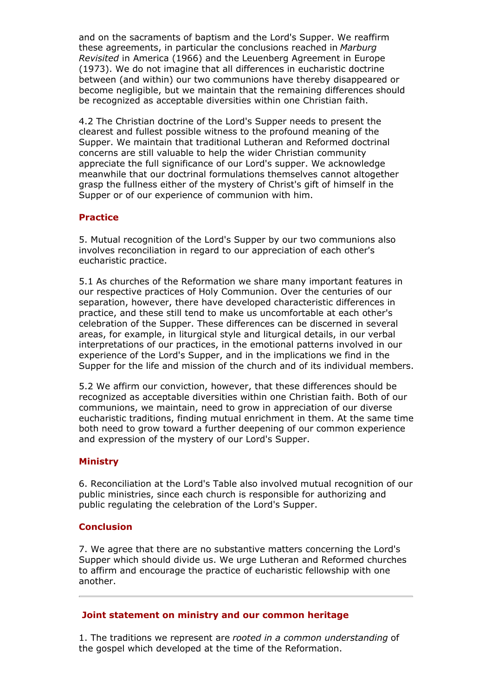and on the sacraments of baptism and the Lord's Supper. We reaffirm these agreements, in particular the conclusions reached in *Marburg Revisited* in America (1966) and the Leuenberg Agreement in Europe (1973). We do not imagine that all differences in eucharistic doctrine between (and within) our two communions have thereby disappeared or become negligible, but we maintain that the remaining differences should be recognized as acceptable diversities within one Christian faith.

4.2 The Christian doctrine of the Lord's Supper needs to present the clearest and fullest possible witness to the profound meaning of the Supper. We maintain that traditional Lutheran and Reformed doctrinal concerns are still valuable to help the wider Christian community appreciate the full significance of our Lord's supper. We acknowledge meanwhile that our doctrinal formulations themselves cannot altogether grasp the fullness either of the mystery of Christ's gift of himself in the Supper or of our experience of communion with him.

# **Practice**

5. Mutual recognition of the Lord's Supper by our two communions also involves reconciliation in regard to our appreciation of each other's eucharistic practice.

5.1 As churches of the Reformation we share many important features in our respective practices of Holy Communion. Over the centuries of our separation, however, there have developed characteristic differences in practice, and these still tend to make us uncomfortable at each other's celebration of the Supper. These differences can be discerned in several areas, for example, in liturgical style and liturgical details, in our verbal interpretations of our practices, in the emotional patterns involved in our experience of the Lord's Supper, and in the implications we find in the Supper for the life and mission of the church and of its individual members.

5.2 We affirm our conviction, however, that these differences should be recognized as acceptable diversities within one Christian faith. Both of our communions, we maintain, need to grow in appreciation of our diverse eucharistic traditions, finding mutual enrichment in them. At the same time both need to grow toward a further deepening of our common experience and expression of the mystery of our Lord's Supper.

# **Ministry**

6. Reconciliation at the Lord's Table also involved mutual recognition of our public ministries, since each church is responsible for authorizing and public regulating the celebration of the Lord's Supper.

### **Conclusion**

7. We agree that there are no substantive matters concerning the Lord's Supper which should divide us. We urge Lutheran and Reformed churches to affirm and encourage the practice of eucharistic fellowship with one another.

# **Joint statement on ministry and our common heritage**

1. The traditions we represent are *rooted in a common understanding* of the gospel which developed at the time of the Reformation.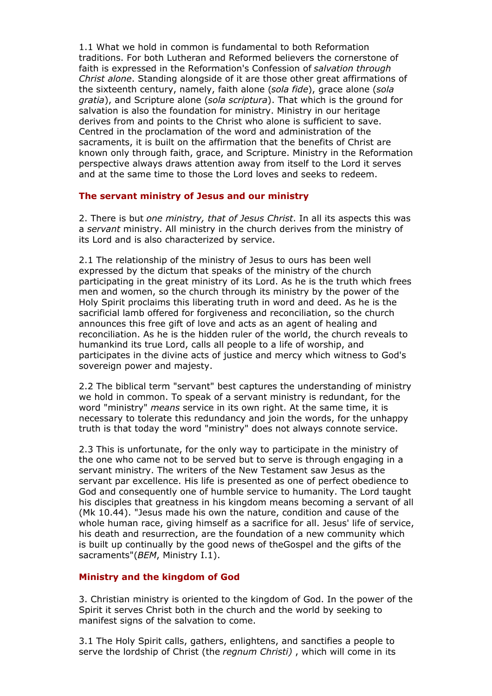1.1 What we hold in common is fundamental to both Reformation traditions. For both Lutheran and Reformed believers the cornerstone of faith is expressed in the Reformation's Confession of *salvation through Christ alone*. Standing alongside of it are those other great affirmations of the sixteenth century, namely, faith alone (*sola fide*), grace alone (*sola gratia*), and Scripture alone (*sola scriptura*). That which is the ground for salvation is also the foundation for ministry. Ministry in our heritage derives from and points to the Christ who alone is sufficient to save. Centred in the proclamation of the word and administration of the sacraments, it is built on the affirmation that the benefits of Christ are known only through faith, grace, and Scripture. Ministry in the Reformation perspective always draws attention away from itself to the Lord it serves and at the same time to those the Lord loves and seeks to redeem.

# **The servant ministry of Jesus and our ministry**

2. There is but *one ministry, that of Jesus Christ*. In all its aspects this was a *servant* ministry. All ministry in the church derives from the ministry of its Lord and is also characterized by service.

2.1 The relationship of the ministry of Jesus to ours has been well expressed by the dictum that speaks of the ministry of the church participating in the great ministry of its Lord. As he is the truth which frees men and women, so the church through its ministry by the power of the Holy Spirit proclaims this liberating truth in word and deed. As he is the sacrificial lamb offered for forgiveness and reconciliation, so the church announces this free gift of love and acts as an agent of healing and reconciliation. As he is the hidden ruler of the world, the church reveals to humankind its true Lord, calls all people to a life of worship, and participates in the divine acts of justice and mercy which witness to God's sovereign power and majesty.

2.2 The biblical term "servant" best captures the understanding of ministry we hold in common. To speak of a servant ministry is redundant, for the word "ministry" *means* service in its own right. At the same time, it is necessary to tolerate this redundancy and join the words, for the unhappy truth is that today the word "ministry" does not always connote service.

2.3 This is unfortunate, for the only way to participate in the ministry of the one who came not to be served but to serve is through engaging in a servant ministry. The writers of the New Testament saw Jesus as the servant par excellence. His life is presented as one of perfect obedience to God and consequently one of humble service to humanity. The Lord taught his disciples that greatness in his kingdom means becoming a servant of all (Mk 10.44). "Jesus made his own the nature, condition and cause of the whole human race, giving himself as a sacrifice for all. Jesus' life of service, his death and resurrection, are the foundation of a new community which is built up continually by the good news of theGospel and the gifts of the sacraments"(*BEM*, Ministry I.1).

### **Ministry and the kingdom of God**

3. Christian ministry is oriented to the kingdom of God. In the power of the Spirit it serves Christ both in the church and the world by seeking to manifest signs of the salvation to come.

3.1 The Holy Spirit calls, gathers, enlightens, and sanctifies a people to serve the lordship of Christ (the *regnum Christi)* , which will come in its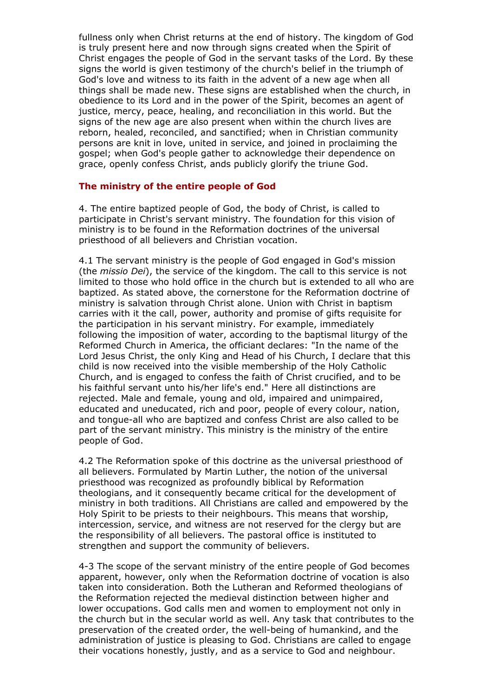fullness only when Christ returns at the end of history. The kingdom of God is truly present here and now through signs created when the Spirit of Christ engages the people of God in the servant tasks of the Lord. By these signs the world is given testimony of the church's belief in the triumph of God's love and witness to its faith in the advent of a new age when all things shall be made new. These signs are established when the church, in obedience to its Lord and in the power of the Spirit, becomes an agent of justice, mercy, peace, healing, and reconciliation in this world. But the signs of the new age are also present when within the church lives are reborn, healed, reconciled, and sanctified; when in Christian community persons are knit in love, united in service, and joined in proclaiming the gospel; when God's people gather to acknowledge their dependence on grace, openly confess Christ, ands publicly glorify the triune God.

### **The ministry of the entire people of God**

4. The entire baptized people of God, the body of Christ, is called to participate in Christ's servant ministry. The foundation for this vision of ministry is to be found in the Reformation doctrines of the universal priesthood of all believers and Christian vocation.

4.1 The servant ministry is the people of God engaged in God's mission (the *missio Dei*), the service of the kingdom. The call to this service is not limited to those who hold office in the church but is extended to all who are baptized. As stated above, the cornerstone for the Reformation doctrine of ministry is salvation through Christ alone. Union with Christ in baptism carries with it the call, power, authority and promise of gifts requisite for the participation in his servant ministry. For example, immediately following the imposition of water, according to the baptismal liturgy of the Reformed Church in America, the officiant declares: "In the name of the Lord Jesus Christ, the only King and Head of his Church, I declare that this child is now received into the visible membership of the Holy Catholic Church, and is engaged to confess the faith of Christ crucified, and to be his faithful servant unto his/her life's end." Here all distinctions are rejected. Male and female, young and old, impaired and unimpaired, educated and uneducated, rich and poor, people of every colour, nation, and tongue-all who are baptized and confess Christ are also called to be part of the servant ministry. This ministry is the ministry of the entire people of God.

4.2 The Reformation spoke of this doctrine as the universal priesthood of all believers. Formulated by Martin Luther, the notion of the universal priesthood was recognized as profoundly biblical by Reformation theologians, and it consequently became critical for the development of ministry in both traditions. All Christians are called and empowered by the Holy Spirit to be priests to their neighbours. This means that worship, intercession, service, and witness are not reserved for the clergy but are the responsibility of all believers. The pastoral office is instituted to strengthen and support the community of believers.

4-3 The scope of the servant ministry of the entire people of God becomes apparent, however, only when the Reformation doctrine of vocation is also taken into consideration. Both the Lutheran and Reformed theologians of the Reformation rejected the medieval distinction between higher and lower occupations. God calls men and women to employment not only in the church but in the secular world as well. Any task that contributes to the preservation of the created order, the well-being of humankind, and the administration of justice is pleasing to God. Christians are called to engage their vocations honestly, justly, and as a service to God and neighbour.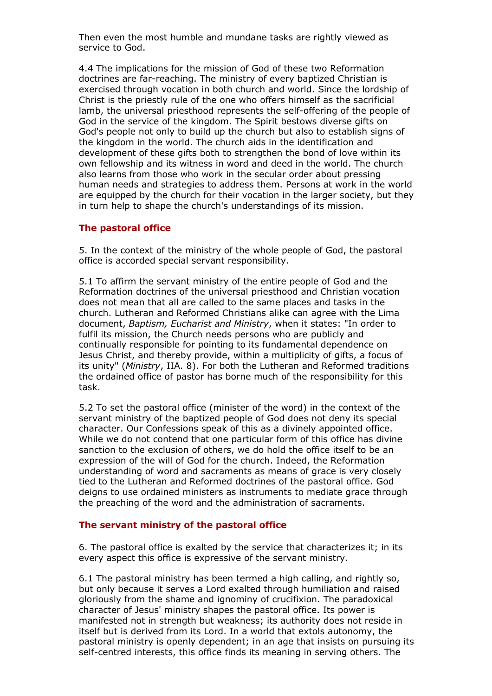Then even the most humble and mundane tasks are rightly viewed as service to God.

4.4 The implications for the mission of God of these two Reformation doctrines are far-reaching. The ministry of every baptized Christian is exercised through vocation in both church and world. Since the lordship of Christ is the priestly rule of the one who offers himself as the sacrificial lamb, the universal priesthood represents the self-offering of the people of God in the service of the kingdom. The Spirit bestows diverse gifts on God's people not only to build up the church but also to establish signs of the kingdom in the world. The church aids in the identification and development of these gifts both to strengthen the bond of love within its own fellowship and its witness in word and deed in the world. The church also learns from those who work in the secular order about pressing human needs and strategies to address them. Persons at work in the world are equipped by the church for their vocation in the larger society, but they in turn help to shape the church's understandings of its mission.

# **The pastoral office**

5. In the context of the ministry of the whole people of God, the pastoral office is accorded special servant responsibility.

5.1 To affirm the servant ministry of the entire people of God and the Reformation doctrines of the universal priesthood and Christian vocation does not mean that all are called to the same places and tasks in the church. Lutheran and Reformed Christians alike can agree with the Lima document, *Baptism, Eucharist and Ministry*, when it states: "In order to fulfil its mission, the Church needs persons who are publicly and continually responsible for pointing to its fundamental dependence on Jesus Christ, and thereby provide, within a multiplicity of gifts, a focus of its unity" (*Ministry*, IIA. 8). For both the Lutheran and Reformed traditions the ordained office of pastor has borne much of the responsibility for this task.

5.2 To set the pastoral office (minister of the word) in the context of the servant ministry of the baptized people of God does not deny its special character. Our Confessions speak of this as a divinely appointed office. While we do not contend that one particular form of this office has divine sanction to the exclusion of others, we do hold the office itself to be an expression of the will of God for the church. Indeed, the Reformation understanding of word and sacraments as means of grace is very closely tied to the Lutheran and Reformed doctrines of the pastoral office. God deigns to use ordained ministers as instruments to mediate grace through the preaching of the word and the administration of sacraments.

### **The servant ministry of the pastoral office**

6. The pastoral office is exalted by the service that characterizes it; in its every aspect this office is expressive of the servant ministry.

6.1 The pastoral ministry has been termed a high calling, and rightly so, but only because it serves a Lord exalted through humiliation and raised gloriously from the shame and ignominy of crucifixion. The paradoxical character of Jesus' ministry shapes the pastoral office. Its power is manifested not in strength but weakness; its authority does not reside in itself but is derived from its Lord. In a world that extols autonomy, the pastoral ministry is openly dependent; in an age that insists on pursuing its self-centred interests, this office finds its meaning in serving others. The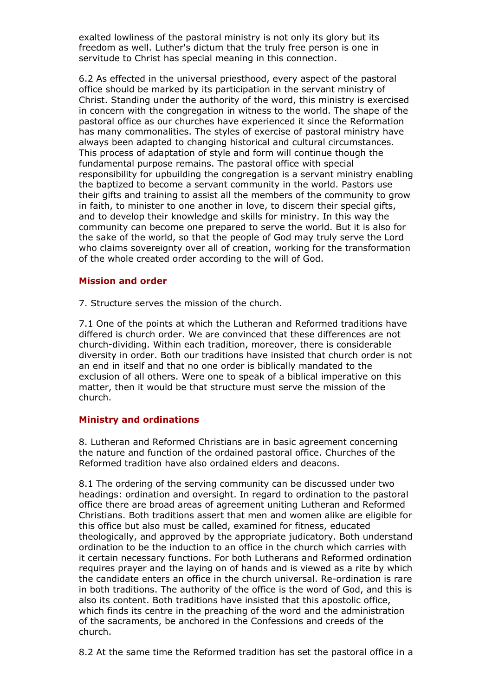exalted lowliness of the pastoral ministry is not only its glory but its freedom as well. Luther's dictum that the truly free person is one in servitude to Christ has special meaning in this connection.

6.2 As effected in the universal priesthood, every aspect of the pastoral office should be marked by its participation in the servant ministry of Christ. Standing under the authority of the word, this ministry is exercised in concern with the congregation in witness to the world. The shape of the pastoral office as our churches have experienced it since the Reformation has many commonalities. The styles of exercise of pastoral ministry have always been adapted to changing historical and cultural circumstances. This process of adaptation of style and form will continue though the fundamental purpose remains. The pastoral office with special responsibility for upbuilding the congregation is a servant ministry enabling the baptized to become a servant community in the world. Pastors use their gifts and training to assist all the members of the community to grow in faith, to minister to one another in love, to discern their special gifts, and to develop their knowledge and skills for ministry. In this way the community can become one prepared to serve the world. But it is also for the sake of the world, so that the people of God may truly serve the Lord who claims sovereignty over all of creation, working for the transformation of the whole created order according to the will of God.

### **Mission and order**

7. Structure serves the mission of the church.

7.1 One of the points at which the Lutheran and Reformed traditions have differed is church order. We are convinced that these differences are not church-dividing. Within each tradition, moreover, there is considerable diversity in order. Both our traditions have insisted that church order is not an end in itself and that no one order is biblically mandated to the exclusion of all others. Were one to speak of a biblical imperative on this matter, then it would be that structure must serve the mission of the church.

### **Ministry and ordinations**

8. Lutheran and Reformed Christians are in basic agreement concerning the nature and function of the ordained pastoral office. Churches of the Reformed tradition have also ordained elders and deacons.

8.1 The ordering of the serving community can be discussed under two headings: ordination and oversight. In regard to ordination to the pastoral office there are broad areas of agreement uniting Lutheran and Reformed Christians. Both traditions assert that men and women alike are eligible for this office but also must be called, examined for fitness, educated theologically, and approved by the appropriate judicatory. Both understand ordination to be the induction to an office in the church which carries with it certain necessary functions. For both Lutherans and Reformed ordination requires prayer and the laying on of hands and is viewed as a rite by which the candidate enters an office in the church universal. Re-ordination is rare in both traditions. The authority of the office is the word of God, and this is also its content. Both traditions have insisted that this apostolic office, which finds its centre in the preaching of the word and the administration of the sacraments, be anchored in the Confessions and creeds of the church.

8.2 At the same time the Reformed tradition has set the pastoral office in a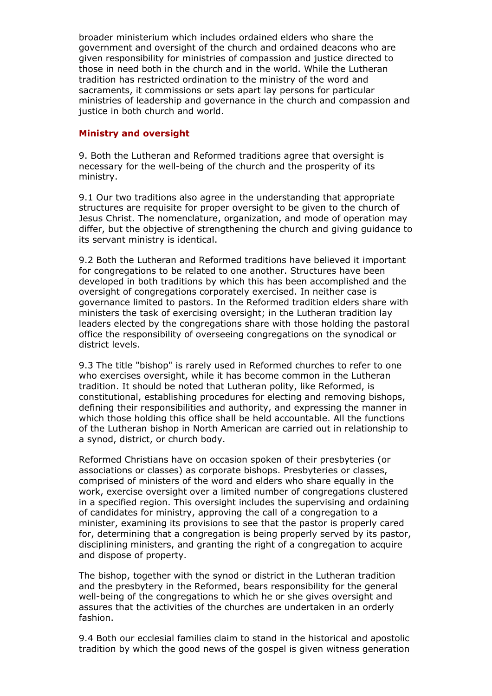broader ministerium which includes ordained elders who share the government and oversight of the church and ordained deacons who are given responsibility for ministries of compassion and justice directed to those in need both in the church and in the world. While the Lutheran tradition has restricted ordination to the ministry of the word and sacraments, it commissions or sets apart lay persons for particular ministries of leadership and governance in the church and compassion and justice in both church and world.

### **Ministry and oversight**

9. Both the Lutheran and Reformed traditions agree that oversight is necessary for the well-being of the church and the prosperity of its ministry.

9.1 Our two traditions also agree in the understanding that appropriate structures are requisite for proper oversight to be given to the church of Jesus Christ. The nomenclature, organization, and mode of operation may differ, but the objective of strengthening the church and giving guidance to its servant ministry is identical.

9.2 Both the Lutheran and Reformed traditions have believed it important for congregations to be related to one another. Structures have been developed in both traditions by which this has been accomplished and the oversight of congregations corporately exercised. In neither case is governance limited to pastors. In the Reformed tradition elders share with ministers the task of exercising oversight; in the Lutheran tradition lay leaders elected by the congregations share with those holding the pastoral office the responsibility of overseeing congregations on the synodical or district levels.

9.3 The title "bishop" is rarely used in Reformed churches to refer to one who exercises oversight, while it has become common in the Lutheran tradition. It should be noted that Lutheran polity, like Reformed, is constitutional, establishing procedures for electing and removing bishops, defining their responsibilities and authority, and expressing the manner in which those holding this office shall be held accountable. All the functions of the Lutheran bishop in North American are carried out in relationship to a synod, district, or church body.

Reformed Christians have on occasion spoken of their presbyteries (or associations or classes) as corporate bishops. Presbyteries or classes, comprised of ministers of the word and elders who share equally in the work, exercise oversight over a limited number of congregations clustered in a specified region. This oversight includes the supervising and ordaining of candidates for ministry, approving the call of a congregation to a minister, examining its provisions to see that the pastor is properly cared for, determining that a congregation is being properly served by its pastor, disciplining ministers, and granting the right of a congregation to acquire and dispose of property.

The bishop, together with the synod or district in the Lutheran tradition and the presbytery in the Reformed, bears responsibility for the general well-being of the congregations to which he or she gives oversight and assures that the activities of the churches are undertaken in an orderly fashion.

9.4 Both our ecclesial families claim to stand in the historical and apostolic tradition by which the good news of the gospel is given witness generation